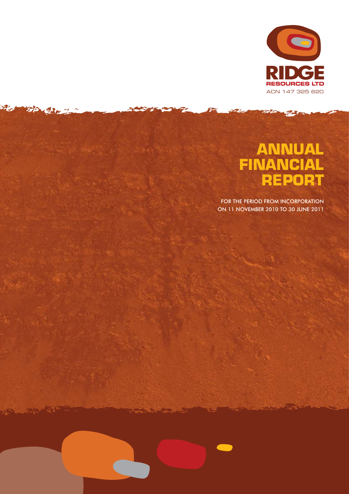

# **ANNUAL FINANCIAL REPORT**

FOR THE PERIOD FROM INCORPORATION ON 11 NOVEMBER 2010 TO 30 JUNE 2011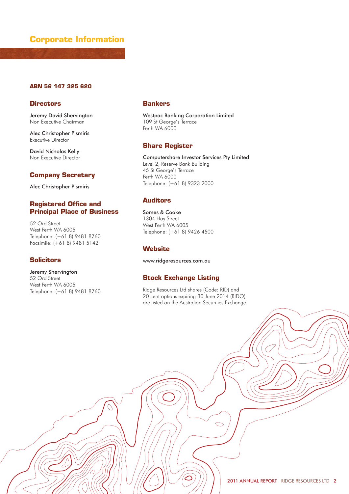# **Corporate Information**

# **ABN 56 147 325 620**

# **Directors**

Jeremy David Shervington Non Executive Chairman

Alec Christopher Pismiris Executive Director

David Nicholas Kelly Non Executive Director

# **Company Secretary**

Alec Christopher Pismiris

# **Registered Office and Principal Place of Business**

52 Ord Street West Perth WA 6005 Telephone: (+61 8) 9481 8760 Facsimile: (+61 8) 9481 5142

# **Solicitors**

Jeremy Shervington 52 Ord Street West Perth WA 6005 Telephone: (+61 8) 9481 8760

# **Bankers**

Westpac Banking Corporation Limited 109 St George's Terrace Perth WA 6000

# **Share Register**

Computershare Investor Services Pty Limited Level 2, Reserve Bank Building 45 St George's Terrace Perth WA 6000 Telephone: (+61 8) 9323 2000

# **Auditors**

Somes & Cooke 1304 Hay Street West Perth WA 6005 Telephone: (+61 8) 9426 4500

# **Website**

www.ridgeresources.com.au

# **Stock Exchange Listing**

Ridge Resources Ltd shares (Code: RID) and 20 cent options expiring 30 June 2014 (RIDO) are listed on the Australian Securities Exchange.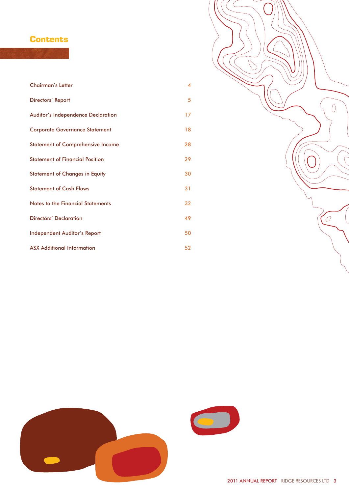# **Contents**

| <b>Chairman's Letter</b>                  | 4  |
|-------------------------------------------|----|
| Directors' Report                         | 5  |
| <b>Auditor's Independence Declaration</b> | 17 |
| <b>Corporate Governance Statement</b>     | 18 |
| <b>Statement of Comprehensive Income</b>  | 28 |
| <b>Statement of Financial Position</b>    | 29 |
| <b>Statement of Changes in Equity</b>     | 30 |
| <b>Statement of Cash Flows</b>            | 31 |
| <b>Notes to the Financial Statements</b>  | 32 |
| <b>Directors' Declaration</b>             | 49 |
| Independent Auditor's Report              | 50 |
| <b>ASX Additional Information</b>         | 52 |





 $\begin{array}{c} \n\end{array}$ 

 $\overline{O}$ 

 $\overline{C}$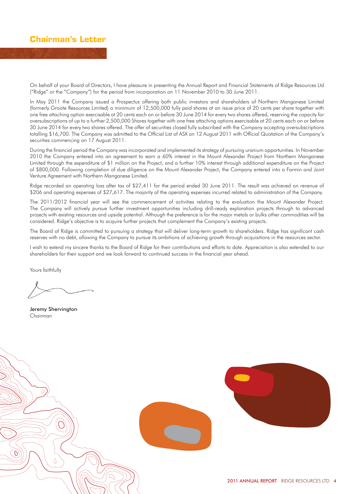# **Chairman's Letter**

On behalf of your Board of Directors, I have pleasure in presenting the Annual Report and Financial Statements of Ridge Resources Ltd ("Ridge" or the "Company") for the period from incorporation on 11 November 2010 to 30 June 2011.

In May 2011 the Company issued a Prospectus offering both public investors and shareholders of Northern Manganese Limited (formerly Groote Resources Limited) a minimum of 12,500,000 fully paid shares at an issue price of 20 cents per share together with one free attaching option exercisable at 20 cents each on or before 30 June 2014 for every two shares offered, reserving the capacity for oversubscriptions of up to a further 2,500,000 Shares together with one free attaching options exercisable at 20 cents each on or before 30 June 2014 for every two shares offered. The offer of securities closed fully subscribed with the Company accepting oversubscriptions totalling \$16,700. The Company was admitted to the Official List of ASX on 12 August 2011 with Official Quotation of the Company's securities commencing on 17 August 2011.

During the financial period the Company was incorporated and implemented its strategy of pursuing uranium opportunities. In November 2010 the Company entered into an agreement to earn a 60% interest in the Mount Alexander Project from Northern Manganese Limited through the expenditure of \$1 million on the Project, and a further 10% interest through additional expenditure on the Project of \$800,000. Following completion of due diligence on the Mount Alexander Project, the Company entered into a Farmin and Joint Venture Agreement with Northern Manganese Limited.

Ridge recorded an operating loss after tax of \$27,411 for the period ended 30 June 2011. The result was achieved on revenue of \$206 and operating expenses of \$27,617. The majority of the operating expenses incurred related to administration of the Company.

The 2011/2012 financial year will see the commencement of activities relating to the evaluation the Mount Alexander Project. The Company will actively pursue further investment opportunities including drill-ready exploration projects through to advanced projects with existing resources and upside potential. Although the preference is for the major metals or bulks other commodities will be considered. Ridge's objective is to acquire further projects that complement the Company's existing projects.

The Board of Ridge is committed to pursuing a strategy that will deliver long-term growth to shareholders. Ridge has significant cash reserves with no debt, allowing the Company to pursue its ambitions of achieving growth through acquisitions in the resources sector.

I wish to extend my sincere thanks to the Board of Ridge for their contributions and efforts to date. Appreciation is also extended to our shareholders for their support and we look forward to continued success in the financial year ahead.

Yours faithfully

Jeremy Shervington Chairman

C

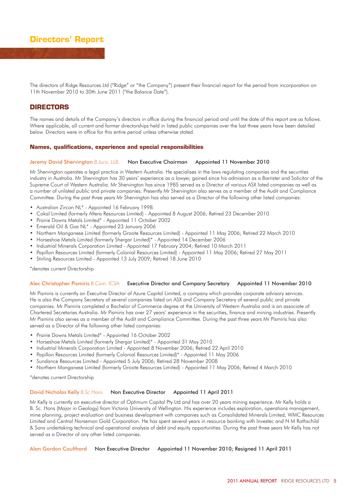# **Directors' Report**

The directors of Ridge Resources Ltd ("Ridge" or "the Company") present their financial report for the period from incorporation on 11th November 2010 to 30th June 2011 ("the Balance Date").

# **DIRECTORS**

The names and details of the Company's directors in office during the financial period and until the date of this report are as follows. Where applicable, all current and former directorships held in listed public companies over the last three years have been detailed below. Directors were in office for this entire period unless otherwise stated.

### **Names, qualifications, experience and special responsibilities**

#### Jeremy David Shervington *B.Juris. LLB*. Non Executive Chairman Appointed 11 November 2010

Mr Shervington operates a legal practice in Western Australia. He specialises in the laws regulating companies and the securities industry in Australia. Mr Shervington has 30 years' experience as a lawyer, gained since his admission as a Barrister and Solicitor of the Supreme Court of Western Australia. Mr Shervington has since 1985 served as a Director of various ASX listed companies as well as a number of unlisted public and private companies. Presently Mr Shervington also serves as a member of the Audit and Compliance Committee. During the past three years Mr Shervington has also served as a Director of the following other listed companies:

- • Australian Zircon NL\* Appointed 16 February 1998
- • Cokal Limited (formerly Altera Resources Limited) Appointed 8 August 2006; Retired 23 December 2010
- Prairie Downs Metals Limited\* Appointed 11 October 2002
- Emerald Oil & Gas NL\* Appointed 23 January 2006
- • Northern Manganese Limited (formerly Groote Resources Limited) Appointed 11 May 2006; Retired 22 March 2010
- Horseshoe Metals Limited (formerly Shergar Limited)\* Appointed 14 December 2006
- Industrial Minerals Corporation Limited Appointed 17 February 2004; Retired 10 March 2011
- Papillon Resources Limited (formerly Colonial Resources Limited) Appointed 11 May 2006; Retired 27 May 2011
- • Stirling Resources Limited Appointed 13 July 2009; Retired 18 June 2010

\*denotes current Directorship

#### Alec Christopher Pismiris *B.Com. ICSA* Executive Director and Company Secretary Appointed 11 November 2010

Mr Pismiris is currently an Executive Director of Azure Capital Limited, a company which provides corporate advisory services. He is also the Company Secretary of several companies listed on ASX and Company Secretary of several public and private companies. Mr Pismiris completed a Bachelor of Commerce degree at the University of Western Australia and is an associate of Chartered Secretaries Australia. Mr Pismiris has over 27 years' experience in the securities, finance and mining industries. Presently Mr Pismiris also serves as a member of the Audit and Compliance Committee. During the past three years Mr Pismiris has also served as a Director of the following other listed companies:

- Prairie Downs Metals Limited\* Appointed 16 October 2002
- • Horseshoe Metals Limited (formerly Shergar Limited)\* Appointed 31 May 2010
- Industrial Minerals Corporation Limited Appointed 8 November 2006; Retired 22 April 2010
- Papillon Resources Limited (formerly Colonial Resources Limited)\* Appointed 11 May 2006
- Sundance Resources Limited Appointed 5 July 2006; Retired 28 November 2008
- Northern Manganese Limited (formerly Groote Resources Limited) Appointed 11 May 2006; Retired 4 March 2010

\*denotes current Directorship

### David Nicholas Kelly *B.Sc Hons* Non Executive Director Appointed 11 April 2011

Mr Kelly is currently an executive director of Optimum Capital Pty Ltd and has over 20 years mining experience. Mr Kelly holds a B. Sc. Hons (Major in Geology) from Victoria University of Wellington. His experience includes exploration, operations management, mine planning, project evaluation and business development with companies such as Consolidated Minerals Limited, WMC Resources Limited and Central Norseman Gold Corporation. He has spent several years in resource banking with Investec and N M Rothschild & Sons undertaking technical and operational analysis of debt and equity opportunities. During the past three years Mr Kelly has not served as a Director of any other listed companies.

Alan Gordon Coulthard Non Executive Director Appointed 11 November 2010; Resigned 11 April 2011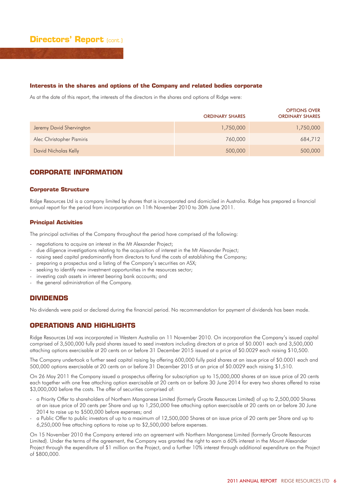### **Interests in the shares and options of the Company and related bodies corporate**

As at the date of this report, the interests of the directors in the shares and options of Ridge were:

|                           | <b>ORDINARY SHARES</b> | <b>OPTIONS OVER</b><br><b>ORDINARY SHARES</b> |
|---------------------------|------------------------|-----------------------------------------------|
| Jeremy David Shervington  | 1,750,000              | 1,750,000                                     |
| Alec Christopher Pismiris | 760,000                | 684,712                                       |
| David Nicholas Kelly      | 500,000                | 500,000                                       |

# **CORPORATE INFORMATION**

### **Corporate Structure**

Ridge Resources Ltd is a company limited by shares that is incorporated and domiciled in Australia. Ridge has prepared a financial annual report for the period from incorporation on 11th November 2010 to 30th June 2011.

# **Principal Activities**

The principal activities of the Company throughout the period have comprised of the following:

- negotiations to acquire an interest in the Mt Alexander Project;
- due diligence investigations relating to the acquisition of interest in the Mt Alexander Project;
- raising seed capital predominantly from directors to fund the costs of establishing the Company;
- preparing a prospectus and a listing of the Company's securities on ASX;
- seeking to identify new investment opportunities in the resources sector;
- investing cash assets in interest bearing bank accounts; and
- the general administration of the Company.

# **DIVIDENDS**

No dividends were paid or declared during the financial period. No recommendation for payment of dividends has been made.

# **OPERATIONS AND HIGHLIGHTS**

Ridge Resources Ltd was incorporated in Western Australia on 11 November 2010. On incorporation the Company's issued capital comprised of 3,500,000 fully paid shares issued to seed investors including directors at a price of \$0.0001 each and 3,500,000 attaching options exercisable at 20 cents on or before 31 December 2015 issued at a price of \$0.0029 each raising \$10,500.

The Company undertook a further seed capital raising by offering 600,000 fully paid shares at an issue price of \$0.0001 each and 500,000 options exercisable at 20 cents on or before 31 December 2015 at an price of \$0.0029 each raising \$1,510.

On 26 May 2011 the Company issued a prospectus offering for subscription up to 15,000,000 shares at an issue price of 20 cents each together with one free attaching option exercisable at 20 cents on or before 30 June 2014 for every two shares offered to raise \$3,000,000 before the costs. The offer of securities comprised of:

- a Priority Offer to shareholders of Northern Manganese Limited (formerly Groote Resources Limited) of up to 2,500,000 Shares at an issue price of 20 cents per Share and up to 1,250,000 free attaching option exercisable at 20 cents on or before 30 June 2014 to raise up to \$500,000 before expenses; and
- a Public Offer to public investors of up to a maximum of 12,500,000 Shares at an issue price of 20 cents per Share and up to 6,250,000 free attaching options to raise up to \$2,500,000 before expenses.

On 15 November 2010 the Company entered into an agreement with Northern Manganese Limited (formerly Groote Resources Limited). Under the terms of the agreement, the Company was granted the right to earn a 60% interest in the Mount Alexander Project through the expenditure of \$1 million on the Project, and a further 10% interest through additional expenditure on the Project of \$800,000.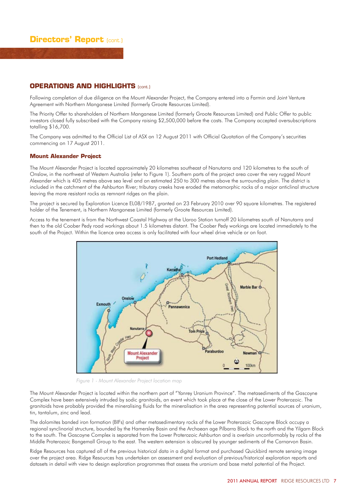# **OPERATIONS AND HIGHLIGHTS (CONT.)**

Following completion of due diligence on the Mount Alexander Project, the Company entered into a Farmin and Joint Venture Agreement with Northern Manganese Limited (formerly Groote Resources Limited).

The Priority Offer to shareholders of Northern Manganese Limited (formerly Groote Resources Limited) and Public Offer to public investors closed fully subscribed with the Company raising \$2,500,000 before the costs. The Company accepted oversubscriptions totalling \$16,700.

The Company was admitted to the Official List of ASX on 12 August 2011 with Official Quotation of the Company's securities commencing on 17 August 2011.

### **Mount Alexander Project**

The Mount Alexander Project is located approximately 20 kilometres southeast of Nanutarra and 120 kilometres to the south of Onslow, in the northwest of Western Australia (refer to Figure 1). Southern parts of the project area cover the very rugged Mount Alexander which is 405 metres above sea level and an estimated 250 to 300 metres above the surrounding plain. The district is included in the catchment of the Ashburton River; tributary creeks have eroded the metamorphic rocks of a major anticlinal structure leaving the more resistant rocks as remnant ridges on the plain.

The project is secured by Exploration Licence EL08/1987, granted on 23 February 2010 over 90 square kilometres. The registered holder of the Tenement, is Northern Manganese Limited (formerly Groote Resources Limited).

Access to the tenement is from the Northwest Coastal Highway at the Uaroo Station turnoff 20 kilometres south of Nanutarra and then to the old Coober Pedy road workings about 1.5 kilometres distant. The Coober Pedy workings are located immediately to the south of the Project. Within the licence area access is only facilitated with four wheel drive vehicle or on foot.



*Figure 1 - Mount Alexander Project location map*

The Mount Alexander Project is located within the northern part of "Yanrey Uranium Province". The metasediments of the Gascoyne Complex have been extensively intruded by sodic granitoids, an event which took place at the close of the Lower Proterozoic. The granitoids have probably provided the mineralising fluids for the mineralisation in the area representing potential sources of uranium, tin, tantalum, zinc and lead.

The dolomites banded iron formation (BIFs) and other metasedimentary rocks of the Lower Proterozoic Gascoyne Block occupy a regional synclinorial structure, bounded by the Hamersley Basin and the Archaean age Pilbarra Block to the north and the Yilgarn Block to the south. The Gascoyne Complex is separated from the Lower Proterozoic Ashburton and is overlain unconformably by rocks of the Middle Proterozoic Bangemall Group to the east. The western extension is obscured by younger sediments of the Carnarvon Basin.

Ridge Resources has captured all of the previous historical data in a digital format and purchased Quickbird remote sensing image over the project area. Ridge Resources has undertaken an assessment and evaluation of previous/historical exploration reports and datasets in detail with view to design exploration programmes that assess the uranium and base metal potential of the Project.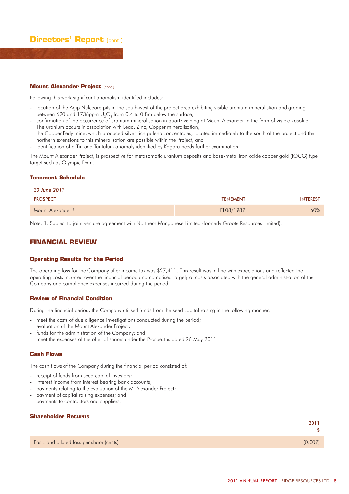### **Mount Alexander Project (cont.)**

Following this work significant anomalism identified includes:

- location of the Agip Nulceare pits in the south-west of the project area exhibiting visible uranium mineralistion and grading between 620 and 1738ppm  $U_3O_8$  from 0.4 to 0.8m below the surface;
- confirmation of the occurrence of uranium mineralisation in quartz veining at Mount Alexander in the form of visible kasolite. The uranium occurs in association with Lead, Zinc, Copper mineralisation;
- the Coober Pedy mine, which produced silver-rich galena concentrates, located immediately to the south of the project and the northern extensions to this mineralisation are possible within the Project; and
- identification of a Tin and Tantalum anomaly identified by Kagara needs further examination.

The Mount Alexander Project, is prospective for metasomatic uranium deposits and base-metal Iron oxide copper gold (IOCG) type target such as Olympic Dam.

# **Tenement Schedule**

| 30 June 2011                 |                 |                 |
|------------------------------|-----------------|-----------------|
| <b>PROSPECT</b>              | <b>TENEMENT</b> | <b>INTEREST</b> |
| Mount Alexander <sup>1</sup> | EL08/1987       | 60%             |

Note: 1. Subject to joint venture agreement with Northern Manganese Limited (formerly Groote Resources Limited).

# **FINANCIAL REVIEW**

### **Operating Results for the Period**

The operating loss for the Company after income tax was \$27,411. This result was in line with expectations and reflected the operating costs incurred over the financial period and comprised largely of costs associated with the general administration of the Company and compliance expenses incurred during the period.

### **Review of Financial Condition**

During the financial period, the Company utilised funds from the seed capital raising in the following manner:

- meet the costs of due diligence investigations conducted during the period;
- evaluation of the Mount Alexander Project;
- funds for the administration of the Company; and
- meet the expenses of the offer of shares under the Prospectus dated 26 May 2011.

#### **Cash Flows**

The cash flows of the Company during the financial period consisted of:

- receipt of funds from seed capital investors;
- interest income from interest bearing bank accounts;
- payments relating to the evaluation of the Mt Alexander Project;
- payment of capital raising expenses; and
- payments to contractors and suppliers.

### **Shareholder Returns**

|                                          | $201^{\circ}$ |
|------------------------------------------|---------------|
|                                          |               |
| Basic and diluted loss per share (cents) | (0.007)       |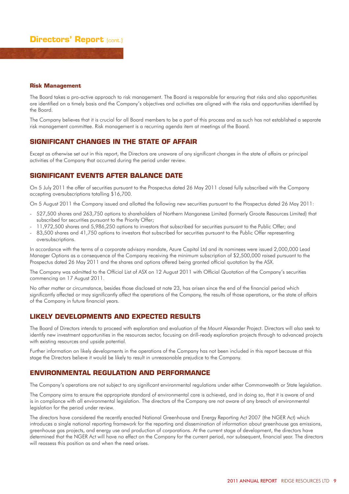#### **Risk Management**

The Board takes a pro-active approach to risk management. The Board is responsible for ensuring that risks and also opportunities are identified on a timely basis and the Company's objectives and activities are aligned with the risks and opportunities identified by the Board.

The Company believes that it is crucial for all Board members to be a part of this process and as such has not established a separate risk management committee. Risk management is a recurring agenda item at meetings of the Board.

# **SIGNIFICANT CHANGES IN THE STATE OF AFFAIR**

Except as otherwise set out in this report, the Directors are unaware of any significant changes in the state of affairs or principal activities of the Company that occurred during the period under review.

# **SIGNIFICANT EVENTS AFTER BALANCE DATE**

On 5 July 2011 the offer of securities pursuant to the Prospectus dated 26 May 2011 closed fully subscribed with the Company accepting oversubscriptions totalling \$16,700.

On 5 August 2011 the Company issued and allotted the following new securities pursuant to the Prospectus dated 26 May 2011:

- 527,500 shares and 263,750 options to shareholders of Northern Manganese Limited (formerly Groote Resources Limited) that subscribed for securities pursuant to the Priority Offer;
- 11,972,500 shares and 5,986,250 options to investors that subscribed for securities pursuant to the Public Offer; and
- 83,500 shares and 41,750 options to investors that subscribed for securities pursuant to the Public Offer representing oversubscriptions.

In accordance with the terms of a corporate advisory mandate, Azure Capital Ltd and its nominees were issued 2,000,000 Lead Manager Options as a consequence of the Company receiving the minimum subscription of \$2,500,000 raised pursuant to the Prospectus dated 26 May 2011 and the shares and options offered being granted official quotation by the ASX.

The Company was admitted to the Official List of ASX on 12 August 2011 with Official Quotation of the Company's securities commencing on 17 August 2011.

No other matter or circumstance, besides those disclosed at note 23, has arisen since the end of the financial period which significantly affected or may significantly affect the operations of the Company, the results of those operations, or the state of affairs of the Company in future financial years.

# **LIKELY DEVELOPMENTS AND EXPECTED RESULTS**

The Board of Directors intends to proceed with exploration and evaluation of the Mount Alexander Project. Directors will also seek to identify new investment opportunities in the resources sector, focusing on drill-ready exploration projects through to advanced projects with existing resources and upside potential.

Further information on likely developments in the operations of the Company has not been included in this report because at this stage the Directors believe it would be likely to result in unreasonable prejudice to the Company.

# **ENVIRONMENTAL REGULATION AND PERFORMANCE**

The Company's operations are not subject to any significant environmental regulations under either Commonwealth or State legislation.

The Company aims to ensure the appropriate standard of environmental care is achieved, and in doing so, that it is aware of and is in compliance with all environmental legislation. The directors of the Company are not aware of any breach of environmental legislation for the period under review.

The directors have considered the recently enacted National Greenhouse and Energy Reporting Act 2007 (the NGER Act) which introduces a single national reporting framework for the reporting and dissemination of information about greenhouse gas emissions, greenhouse gas projects, and energy use and production of corporations. At the current stage of development, the directors have determined that the NGER Act will have no effect on the Company for the current period, nor subsequent, financial year. The directors will reassess this position as and when the need arises.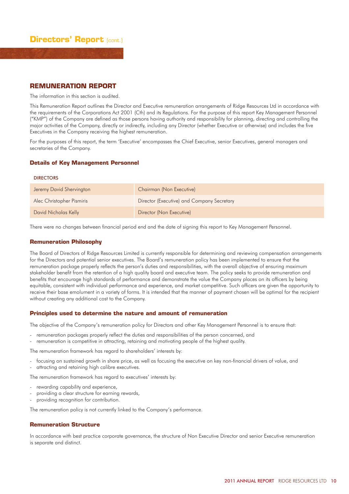# **REMUNERATION REPORT**

The information in this section is audited.

This Remuneration Report outlines the Director and Executive remuneration arrangements of Ridge Resources Ltd in accordance with the requirements of the Corporations Act 2001 (Cth) and its Regulations. For the purpose of this report Key Management Personnel ("KMP") of the Company are defined as those persons having authority and responsibility for planning, directing and controlling the major activities of the Company, directly or indirectly, including any Director (whether Executive or otherwise) and includes the five Executives in the Company receiving the highest remuneration.

For the purposes of this report, the term 'Executive' encompasses the Chief Executive, senior Executives, general managers and secretaries of the Company.

### **Details of Key Management Personnel**

#### **DIRECTORS**

| Jeremy David Shervington  | Chairman (Non Executive)                   |
|---------------------------|--------------------------------------------|
| Alec Christopher Pismiris | Director (Executive) and Company Secretary |
| David Nicholas Kelly      | Director (Non Executive)                   |

There were no changes between financial period end and the date of signing this report to Key Management Personnel.

### **Remuneration Philosophy**

The Board of Directors of Ridge Resources Limited is currently responsible for determining and reviewing compensation arrangements for the Directors and potential senior executives. The Board's remuneration policy has been implemented to ensure that the remuneration package properly reflects the person's duties and responsibilities, with the overall objective of ensuring maximum stakeholder benefit from the retention of a high quality board and executive team. The policy seeks to provide remuneration and benefits that encourage high standards of performance and demonstrate the value the Company places on its officers by being equitable, consistent with individual performance and experience, and market competitive. Such officers are given the opportunity to receive their base emolument in a variety of forms. It is intended that the manner of payment chosen will be optimal for the recipient without creating any additional cost to the Company.

### **Principles used to determine the nature and amount of remuneration**

The objective of the Company's remuneration policy for Directors and other Key Management Personnel is to ensure that:

- remuneration packages properly reflect the duties and responsibilities of the person concerned, and
- remuneration is competitive in attracting, retaining and motivating people of the highest quality.

The remuneration framework has regard to shareholders' interests by:

- focusing on sustained growth in share price, as well as focusing the executive on key non-financial drivers of value, and
- attracting and retaining high calibre executives.

The remuneration framework has regard to executives' interests by:

- rewarding capability and experience,
- providing a clear structure for earning rewards,
- providing recognition for contribution.

The remuneration policy is not currently linked to the Company's performance.

### **Remuneration Structure**

In accordance with best practice corporate governance, the structure of Non Executive Director and senior Executive remuneration is separate and distinct.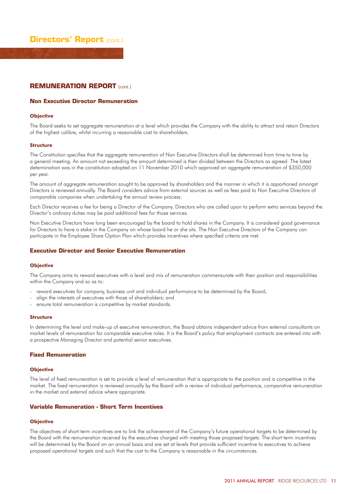

# **REMUNERATION REPORT** (cont.)

# **Non Executive Director Remuneration**

#### **Objective**

The Board seeks to set aggregate remuneration at a level which provides the Company with the ability to attract and retain Directors of the highest calibre, whilst incurring a reasonable cost to shareholders.

#### **Structure**

The Constitution specifies that the aggregate remuneration of Non Executive Directors shall be determined from time to time by a general meeting. An amount not exceeding the amount determined is then divided between the Directors as agreed. The latest determination was in the constitution adopted on 11 November 2010 which approved an aggregate remuneration of \$350,000 per year.

The amount of aggregate remuneration sought to be approved by shareholders and the manner in which it is apportioned amongst Directors is reviewed annually. The Board considers advice from external sources as well as fees paid to Non Executive Directors of comparable companies when undertaking the annual review process.

Each Director receives a fee for being a Director of the Company. Directors who are called upon to perform extra services beyond the Director's ordinary duties may be paid additional fees for those services.

Non Executive Directors have long been encouraged by the board to hold shares in the Company. It is considered good governance for Directors to have a stake in the Company on whose board he or she sits. The Non Executive Directors of the Company can participate in the Employee Share Option Plan which provides incentives where specified criteria are met.

#### **Executive Director and Senior Executive Remuneration**

#### **Objective**

The Company aims to reward executives with a level and mix of remuneration commensurate with their position and responsibilities within the Company and so as to:

- reward executives for company, business unit and individual performance to be determined by the Board;
- align the interests of executives with those of shareholders; and
- ensure total remuneration is competitive by market standards.

#### **Structure**

In determining the level and make-up of executive remuneration, the Board obtains independent advice from external consultants on market levels of remuneration for comparable executive roles. It is the Board's policy that employment contracts are entered into with a prospective Managing Director and potential senior executives.

### **Fixed Remuneration**

### **Objective**

The level of fixed remuneration is set to provide a level of remuneration that is appropriate to the position and is competitive in the market. The fixed remuneration is reviewed annually by the Board with a review of individual performance, comparative remuneration in the market and external advice where appropriate.

# **Variable Remuneration - Short Term Incentives**

# **Objective**

The objectives of short term incentives are to link the achievement of the Company's future operational targets to be determined by the Board with the remuneration received by the executives charged with meeting those proposed targets. The short term incentives will be determined by the Board on an annual basis and are set at levels that provide sufficient incentive to executives to achieve proposed operational targets and such that the cost to the Company is reasonable in the circumstances.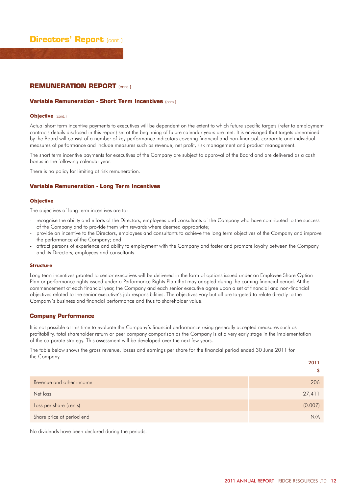# **REMUNERATION REPORT** (cont.)

# **Variable Remuneration - Short Term Incentives** (cont.)

#### **Objective** (cont.)

Actual short term incentive payments to executives will be dependent on the extent to which future specific targets (refer to employment contracts details disclosed in this report) set at the beginning of future calendar years are met. It is envisaged that targets determined by the Board will consist of a number of key performance indicators covering financial and non-financial, corporate and individual measures of performance and include measures such as revenue, net profit, risk management and product management.

The short term incentive payments for executives of the Company are subject to approval of the Board and are delivered as a cash bonus in the following calendar year.

There is no policy for limiting at risk remuneration.

### **Variable Remuneration - Long Term Incentives**

#### **Objective**

The objectives of long term incentives are to:

- recognise the ability and efforts of the Directors, employees and consultants of the Company who have contributed to the success of the Company and to provide them with rewards where deemed appropriate;
- provide an incentive to the Directors, employees and consultants to achieve the long term objectives of the Company and improve the performance of the Company; and
- attract persons of experience and ability to employment with the Company and foster and promote loyalty between the Company and its Directors, employees and consultants.

#### **Structure**

Long term incentives granted to senior executives will be delivered in the form of options issued under an Employee Share Option Plan or performance rights issued under a Performance Rights Plan that may adopted during the coming financial period. At the commencement of each financial year, the Company and each senior executive agree upon a set of financial and non-financial objectives related to the senior executive's job responsibilities. The objectives vary but all are targeted to relate directly to the Company's business and financial performance and thus to shareholder value.

### **Company Performance**

It is not possible at this time to evaluate the Company's financial performance using generally accepted measures such as profitability, total shareholder return or peer company comparison as the Company is at a very early stage in the implementation of the corporate strategy. This assessment will be developed over the next few years.

The table below shows the gross revenue, losses and earnings per share for the financial period ended 30 June 2011 for the Company.

|                           | 2011<br>s. |
|---------------------------|------------|
| Revenue and other income  | 206        |
| Net loss                  | 27,411     |
| Loss per share (cents)    | (0.007)    |
| Share price at period end | N/A        |

No dividends have been declared during the periods.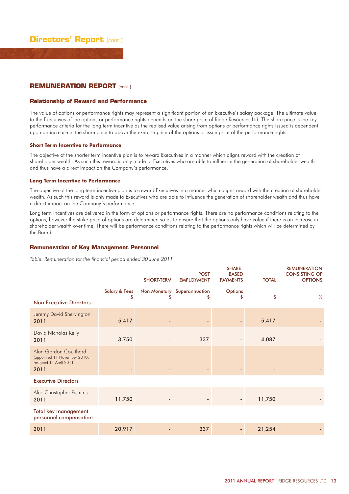# **REMUNERATION REPORT** (cont.)

# **Relationship of Reward and Performance**

The value of options or performance rights may represent a significant portion of an Executive's salary package. The ultimate value to the Executives of the options or performance rights depends on the share price of Ridge Resources Ltd. The share price is the key performance criteria for the long term incentive as the realised value arising from options or performance rights issued is dependent upon an increase in the share price to above the exercise price of the options or issue price of the performance rights.

#### **Short Term Incentive to Performance**

The objective of the shorter term incentive plan is to reward Executives in a manner which aligns reward with the creation of shareholder wealth. As such this reward is only made to Executives who are able to influence the generation of shareholder wealth and thus have a direct impact on the Company's performance.

#### **Long Term Incentive to Performance**

The objective of the long term incentive plan is to reward Executives in a manner which aligns reward with the creation of shareholder wealth. As such this reward is only made to Executives who are able to influence the generation of shareholder wealth and thus have a direct impact on the Company's performance.

Long term incentives are delivered in the form of options or performance rights. There are no performance conditions relating to the options, however the strike price of options are determined so as to ensure that the options only have value if there is an increase in shareholder wealth over time. There will be performance conditions relating to the performance rights which will be determined by the Board.

Share-

# **Remuneration of Key Management Personnel**

*Table: Remuneration for the financial period ended 30 June 2011*

|                                                                                          |                          | <b>SHORT-TERM</b> | <b>POST</b><br><b>EMPLOYMENT</b>  | <b>SHARE-</b><br><b>BASED</b><br><b>PAYMENTS</b> | <b>TOTAL</b> | <b>REMUNERATION</b><br><b>CONSISTING OF</b><br><b>OPTIONS</b> |
|------------------------------------------------------------------------------------------|--------------------------|-------------------|-----------------------------------|--------------------------------------------------|--------------|---------------------------------------------------------------|
|                                                                                          | <b>Salary &amp; Fees</b> |                   | Non Monetary Superannuation<br>\$ | Options<br>\$                                    | \$           | %                                                             |
| <b>Non Executive Directors</b>                                                           |                          |                   |                                   |                                                  |              |                                                               |
| Jeremy David Shervington<br>2011                                                         | 5,417                    |                   | ٠                                 |                                                  | 5,417        |                                                               |
| David Nicholas Kelly<br>2011                                                             | 3,750                    |                   | 337                               |                                                  | 4,087        |                                                               |
| Alan Gordon Coulthard<br>(appointed 11 November 2010,<br>resigned 11 April 2011)<br>2011 |                          |                   |                                   |                                                  |              |                                                               |
| <b>Executive Directors</b>                                                               |                          |                   |                                   |                                                  |              |                                                               |
| Alec Christopher Pismiris<br>2011                                                        | 11,750                   |                   |                                   |                                                  | 11,750       |                                                               |
| Total key management<br>personnel compensation                                           |                          |                   |                                   |                                                  |              |                                                               |
| 2011                                                                                     | 20,917                   |                   | 337                               |                                                  | 21,254       |                                                               |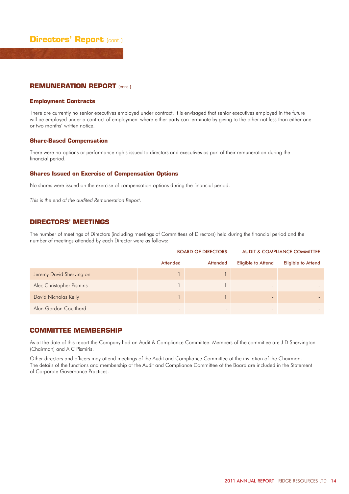# **REMUNERATION REPORT** (cont.)

# **Employment Contracts**

There are currently no senior executives employed under contract. It is envisaged that senior executives employed in the future will be employed under a contract of employment where either party can terminate by giving to the other not less than either one or two months' written notice.

### **Share-Based Compensation**

There were no options or performance rights issued to directors and executives as part of their remuneration during the financial period.

### **Shares Issued on Exercise of Compensation Options**

No shares were issued on the exercise of compensation options during the financial period.

*This is the end of the audited Remuneration Report.*

# **DIRECTORS' MEETINGS**

The number of meetings of Directors (including meetings of Committees of Directors) held during the financial period and the number of meetings attended by each Director were as follows:

|                           | <b>BOARD OF DIRECTORS</b> |                 | <b>AUDIT &amp; COMPLIANCE COMMITTEE</b> |                           |
|---------------------------|---------------------------|-----------------|-----------------------------------------|---------------------------|
|                           | <b>Attended</b>           | <b>Attended</b> | <b>Eligible to Attend</b>               | <b>Eligible to Attend</b> |
| Jeremy David Shervington  |                           |                 | $\overline{\phantom{0}}$                |                           |
| Alec Christopher Pismiris |                           |                 | $\overline{\phantom{0}}$                |                           |
| David Nicholas Kelly      |                           |                 | $\sim$                                  |                           |
| Alan Gordon Coulthard     |                           |                 |                                         |                           |

# **COMMITTEE MEMBERSHIP**

As at the date of this report the Company had an Audit & Compliance Committee. Members of the committee are J D Shervington (Chairman) and A C Pismiris.

Other directors and officers may attend meetings of the Audit and Compliance Committee at the invitation of the Chairman. The details of the functions and membership of the Audit and Compliance Committee of the Board are included in the Statement of Corporate Governance Practices.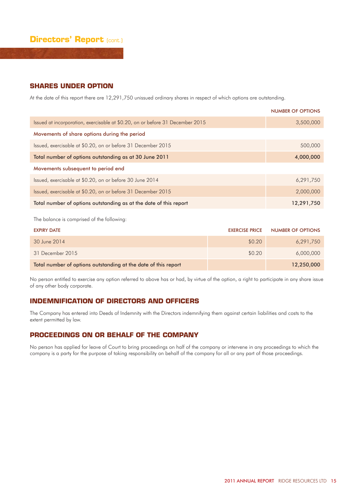# **SHARES UNDER OPTION**

At the date of this report there are 12,291,750 unissued ordinary shares in respect of which options are outstanding.

|                                                                               | <b>NUMBER OF OPTIONS</b> |
|-------------------------------------------------------------------------------|--------------------------|
| Issued at incorporation, exercisable at \$0.20, on or before 31 December 2015 | 3,500,000                |
| Movements of share options during the period                                  |                          |
| Issued, exercisable at \$0.20, on or before 31 December 2015                  | 500,000                  |
| Total number of options outstanding as at 30 June 2011                        | 4,000,000                |
| Movements subsequent to period end                                            |                          |
| Issued, exercisable at \$0.20, on or before 30 June 2014                      | 6,291,750                |
| Issued, exercisable at \$0.20, on or before 31 December 2015                  | 2,000,000                |
| Total number of options outstanding as at the date of this report             | 12,291,750               |

The balance is comprised of the following:

| <b>EXPIRY DATE</b>                                             | <b>EXERCISE PRICE</b> | NUMBER OF OPTIONS |
|----------------------------------------------------------------|-----------------------|-------------------|
| 30 June 2014                                                   | \$0.20                | 6,291,750         |
| 31 December 2015                                               | \$0.20                | 6,000,000         |
| Total number of options outstanding at the date of this report |                       | 12,250,000        |

No person entitled to exercise any option referred to above has or had, by virtue of the option, a right to participate in any share issue of any other body corporate.

# **INDEMNIFICATION OF DIRECTORS AND OFFICERS**

The Company has entered into Deeds of Indemnity with the Directors indemnifying them against certain liabilities and costs to the extent permitted by law.

# **PROCEEDINGS ON OR BEHALF OF THE COMPANY**

No person has applied for leave of Court to bring proceedings on half of the company or intervene in any proceedings to which the company is a party for the purpose of taking responsibility on behalf of the company for all or any part of those proceedings.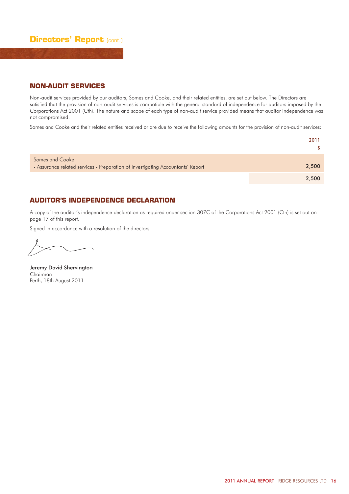

# **NON-AUDIT SERVICES**

Non-audit services provided by our auditors, Somes and Cooke, and their related entities, are set out below. The Directors are satisfied that the provision of non-audit services is compatible with the general standard of independence for auditors imposed by the Corporations Act 2001 (Cth). The nature and scope of each type of non-audit service provided means that auditor independence was not compromised.

Somes and Cooke and their related entities received or are due to receive the following amounts for the provision of non-audit services:

|                                                                                                     | 2011  |
|-----------------------------------------------------------------------------------------------------|-------|
| Somes and Cooke:<br>- Assurance related services - Preparation of Investigating Accountants' Report | 2,500 |
|                                                                                                     | 2,500 |

# **AUDITOR'S INDEPENDENCE DECLARATION**

A copy of the auditor's independence declaration as required under section 307C of the Corporations Act 2001 (Cth) is set out on page 17 of this report.

Signed in accordance with a resolution of the directors.

Jeremy David Shervington Chairman Perth, 18th August 2011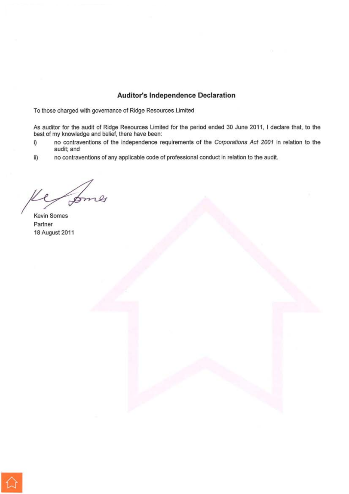# **Auditor's Independence Declaration**

To those charged with governance of Ridge Resources Limited

As auditor for the audit of Ridge Resources Limited for the period ended 30 June 2011, I declare that, to the best of my knowledge and belief, there have been:

- no contraventions of the independence requirements of the Corporations Act 2001 in relation to the i) audit; and
- ii) no contraventions of any applicable code of professional conduct in relation to the audit.

Þ

**Kevin Somes** Partner 18 August 2011

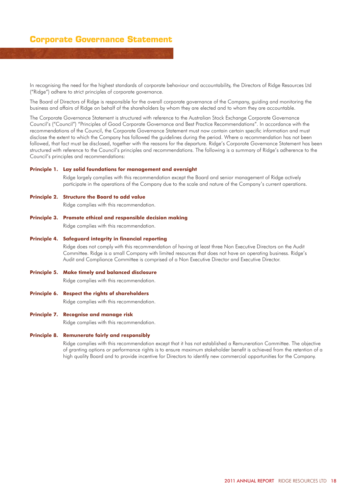# **Corporate Governance Statement**

In recognising the need for the highest standards of corporate behaviour and accountability, the Directors of Ridge Resources Ltd ("Ridge") adhere to strict principles of corporate governance.

The Board of Directors of Ridge is responsible for the overall corporate governance of the Company, guiding and monitoring the business and affairs of Ridge on behalf of the shareholders by whom they are elected and to whom they are accountable.

The Corporate Governance Statement is structured with reference to the Australian Stock Exchange Corporate Governance Council's ("Council") "Principles of Good Corporate Governance and Best Practice Recommendations". In accordance with the recommendations of the Council, the Corporate Governance Statement must now contain certain specific information and must disclose the extent to which the Company has followed the guidelines during the period. Where a recommendation has not been followed, that fact must be disclosed, together with the reasons for the departure. Ridge's Corporate Governance Statement has been structured with reference to the Council's principles and recommendations. The following is a summary of Ridge's adherence to the Council's principles and recommendations:

#### **Principle 1. Lay solid foundations for management and oversight**

Ridge largely complies with this recommendation except the Board and senior management of Ridge actively participate in the operations of the Company due to the scale and nature of the Company's current operations.

**Principle 2. Structure the Board to add value**

Ridge complies with this recommendation.

#### **Principle 3. Promote ethical and responsible decision making**

Ridge complies with this recommendation.

**Principle 4. Safeguard integrity in financial reporting**

Ridge does not comply with this recommendation of having at least three Non Executive Directors on the Audit Committee. Ridge is a small Company with limited resources that does not have an operating business. Ridge's Audit and Compliance Committee is comprised of a Non Executive Director and Executive Director.

- **Principle 5. Make timely and balanced disclosure** Ridge complies with this recommendation.
- **Principle 6. Respect the rights of shareholders** Ridge complies with this recommendation.
- **Principle 7. Recognise and manage risk**

Ridge complies with this recommendation.

#### **Principle 8. Remunerate fairly and responsibly**

Ridge complies with this recommendation except that it has not established a Remuneration Committee. The objective of granting options or performance rights is to ensure maximum stakeholder benefit is achieved from the retention of a high quality Board and to provide incentive for Directors to identify new commercial opportunities for the Company.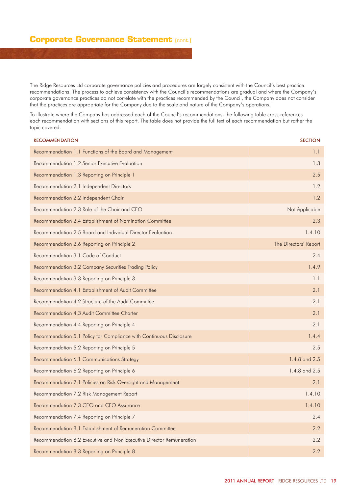# **Corporate Governance Statement** (cont.)

The Ridge Resources Ltd corporate governance policies and procedures are largely consistent with the Council's best practice recommendations. The process to achieve consistency with the Council's recommendations are gradual and where the Company's corporate governance practices do not correlate with the practices recommended by the Council, the Company does not consider that the practices are appropriate for the Company due to the scale and nature of the Company's operations.

To illustrate where the Company has addressed each of the Council's recommendations, the following table cross-references each recommendation with sections of this report. The table does not provide the full text of each recommendation but rather the topic covered.

| <b>RECOMMENDATION</b>                                                | <b>SECTION</b>        |
|----------------------------------------------------------------------|-----------------------|
| Recommendation 1.1 Functions of the Board and Management             | 1.1                   |
| Recommendation 1.2 Senior Executive Evaluation                       | 1.3                   |
| Recommendation 1.3 Reporting on Principle 1                          | 2.5                   |
| Recommendation 2.1 Independent Directors                             | 1.2                   |
| Recommendation 2.2 Independent Chair                                 | 1.2                   |
| Recommendation 2.3 Role of the Chair and CEO                         | Not Applicable        |
| Recommendation 2.4 Establishment of Nomination Committee             | 2.3                   |
| Recommendation 2.5 Board and Individual Director Evaluation          | 1.4.10                |
| Recommendation 2.6 Reporting on Principle 2                          | The Directors' Report |
| Recommendation 3.1 Code of Conduct                                   | 2.4                   |
| Recommendation 3.2 Company Securities Trading Policy                 | 1.4.9                 |
| Recommendation 3.3 Reporting on Principle 3                          | 1.1                   |
| Recommendation 4.1 Establishment of Audit Committee                  | 2.1                   |
| Recommendation 4.2 Structure of the Audit Committee                  | 2.1                   |
| Recommendation 4.3 Audit Committee Charter                           | 2.1                   |
| Recommendation 4.4 Reporting on Principle 4                          | 2.1                   |
| Recommendation 5.1 Policy for Compliance with Continuous Disclosure  | 1.4.4                 |
| Recommendation 5.2 Reporting on Principle 5                          | 2.5                   |
| Recommendation 6.1 Communications Strategy                           | 1.4.8 and 2.5         |
| Recommendation 6.2 Reporting on Principle 6                          | 1.4.8 and 2.5         |
| Recommendation 7.1 Policies on Risk Oversight and Management         | 2.1                   |
| Recommendation 7.2 Risk Management Report                            | 1.4.10                |
| Recommendation 7.3 CEO and CFO Assurance                             | 1.4.10                |
| Recommendation 7.4 Reporting on Principle 7                          | 2.4                   |
| Recommendation 8.1 Establishment of Remuneration Committee           | 2.2                   |
| Recommendation 8.2 Executive and Non Executive Director Remuneration | 2.2                   |
| Recommendation 8.3 Reporting on Principle 8                          | 2.2                   |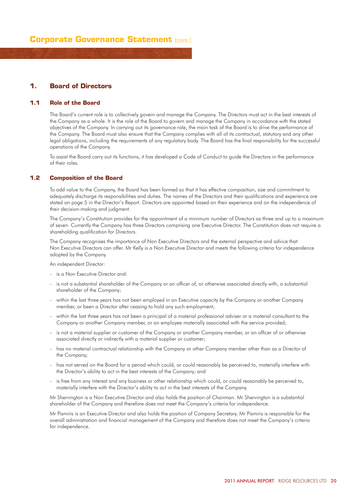# **1. Board of Directors**

# **1.1 Role of the Board**

The Board's current role is to collectively govern and manage the Company. The Directors must act in the best interests of the Company as a whole. It is the role of the Board to govern and manage the Company in accordance with the stated objectives of the Company. In carrying out its governance role, the main task of the Board is to drive the performance of the Company. The Board must also ensure that the Company complies with all of its contractual, statutory and any other legal obligations, including the requirements of any regulatory body. The Board has the final responsibility for the successful operations of the Company.

To assist the Board carry out its functions, it has developed a Code of Conduct to guide the Directors in the performance of their roles.

# **1.2 Composition of the Board**

To add value to the Company, the Board has been formed so that it has effective composition, size and commitment to adequately discharge its responsibilities and duties. The names of the Directors and their qualifications and experience are stated on page 5 in the Director's Report. Directors are appointed based on their experience and on the independence of their decision-making and judgment.

The Company's Constitution provides for the appointment of a minimum number of Directors as three and up to a maximum of seven. Currently the Company has three Directors comprising one Executive Director. The Constitution does not require a shareholding qualification for Directors.

The Company recognises the importance of Non Executive Directors and the external perspective and advice that Non Executive Directors can offer. Mr Kelly is a Non Executive Director and meets the following criteria for independence adopted by the Company.

An independent Director:

- is a Non Executive Director and:
- is not a substantial shareholder of the Company or an officer of, or otherwise associated directly with, a substantial shareholder of the Company;
- within the last three years has not been employed in an Executive capacity by the Company or another Company member, or been a Director after ceasing to hold any such employment;
- within the last three years has not been a principal of a material professional adviser or a material consultant to the Company or another Company member, or an employee materially associated with the service provided;
- is not a material supplier or customer of the Company or another Company member, or an officer of or otherwise associated directly or indirectly with a material supplier or customer;
- has no material contractual relationship with the Company or other Company member other than as a Director of the Company;
- has not served on the Board for a period which could, or could reasonably be perceived to, materially interfere with the Director's ability to act in the best interests of the Company; and
- is free from any interest and any business or other relationship which could, or could reasonably be perceived to, materially interfere with the Director's ability to act in the best interests of the Company.

Mr Shervington is a Non Executive Director and also holds the position of Chairman. Mr Shervington is a substantial shareholder of the Company and therefore does not meet the Company's criteria for independence.

Mr Pismiris is an Executive Director and also holds the position of Company Secretary. Mr Pismiris is responsible for the overall administration and financial management of the Company and therefore does not meet the Company's criteria for independence.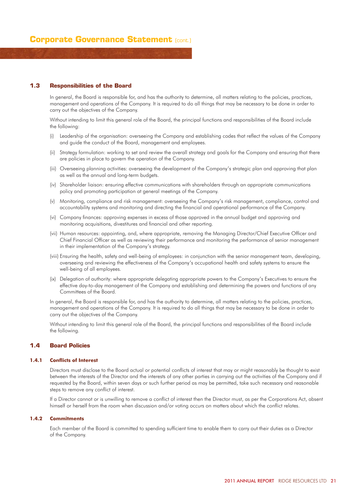### **1.3 Responsibilities of the Board**

In general, the Board is responsible for, and has the authority to determine, all matters relating to the policies, practices, management and operations of the Company. It is required to do all things that may be necessary to be done in order to carry out the objectives of the Company.

Without intending to limit this general role of the Board, the principal functions and responsibilities of the Board include the following:

- (i) Leadership of the organisation: overseeing the Company and establishing codes that reflect the values of the Company and guide the conduct of the Board, management and employees.
- (ii) Strategy formulation: working to set and review the overall strategy and goals for the Company and ensuring that there are policies in place to govern the operation of the Company.
- (iii) Overseeing planning activities: overseeing the development of the Company's strategic plan and approving that plan as well as the annual and long-term budgets.
- (iv) Shareholder liaison: ensuring effective communications with shareholders through an appropriate communications policy and promoting participation at general meetings of the Company.
- (v) Monitoring, compliance and risk management: overseeing the Company's risk management, compliance, control and accountability systems and monitoring and directing the financial and operational performance of the Company.
- (vi) Company finances: approving expenses in excess of those approved in the annual budget and approving and monitoring acquisitions, divestitures and financial and other reporting.
- (vii) Human resources: appointing, and, where appropriate, removing the Managing Director/Chief Executive Officer and Chief Financial Officer as well as reviewing their performance and monitoring the performance of senior management in their implementation of the Company's strategy.
- (viii) Ensuring the health, safety and well-being of employees: in conjunction with the senior management team, developing, overseeing and reviewing the effectiveness of the Company's occupational health and safety systems to ensure the well-being of all employees.
- (ix) Delegation of authority: where appropriate delegating appropriate powers to the Company's Executives to ensure the effective day-to-day management of the Company and establishing and determining the powers and functions of any Committees of the Board.

In general, the Board is responsible for, and has the authority to determine, all matters relating to the policies, practices, management and operations of the Company. It is required to do all things that may be necessary to be done in order to carry out the objectives of the Company.

Without intending to limit this general role of the Board, the principal functions and responsibilities of the Board include the following.

# **1.4 Board Policies**

### **1.4.1 Conflicts of Interest**

Directors must disclose to the Board actual or potential conflicts of interest that may or might reasonably be thought to exist between the interests of the Director and the interests of any other parties in carrying out the activities of the Company and if requested by the Board, within seven days or such further period as may be permitted, take such necessary and reasonable steps to remove any conflict of interest.

If a Director cannot or is unwilling to remove a conflict of interest then the Director must, as per the Corporations Act, absent himself or herself from the room when discussion and/or voting occurs on matters about which the conflict relates.

### **1.4.2 Commitments**

Each member of the Board is committed to spending sufficient time to enable them to carry out their duties as a Director of the Company.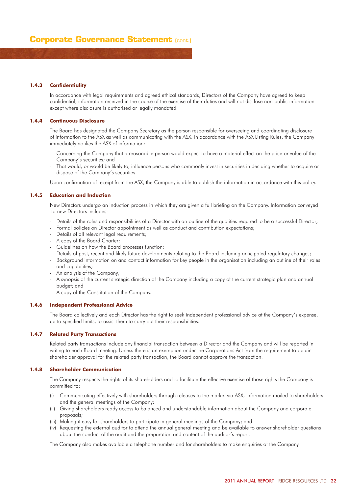### **1.4.3 Confidentiality**

In accordance with legal requirements and agreed ethical standards, Directors of the Company have agreed to keep confidential, information received in the course of the exercise of their duties and will not disclose non-public information except where disclosure is authorised or legally mandated.

### **1.4.4 Continuous Disclosure**

The Board has designated the Company Secretary as the person responsible for overseeing and coordinating disclosure of information to the ASX as well as communicating with the ASX. In accordance with the ASX Listing Rules, the Company immediately notifies the ASX of information:

- Concerning the Company that a reasonable person would expect to have a material effect on the price or value of the Company's securities; and
- That would, or would be likely to, influence persons who commonly invest in securities in deciding whether to acquire or dispose of the Company's securities.

Upon confirmation of receipt from the ASX, the Company is able to publish the information in accordance with this policy.

#### **1.4.5 Education and Induction**

New Directors undergo an induction process in which they are given a full briefing on the Company. Information conveyed to new Directors includes:

- Details of the roles and responsibilities of a Director with an outline of the qualities required to be a successful Director;
- Formal policies on Director appointment as well as conduct and contribution expectations;
- Details of all relevant legal requirements;
- A copy of the Board Charter;
- Guidelines on how the Board processes function;
- Details of past, recent and likely future developments relating to the Board including anticipated regulatory changes;
- Background information on and contact information for key people in the organisation including an outline of their roles and capabilities;
- An analysis of the Company;
- A synopsis of the current strategic direction of the Company including a copy of the current strategic plan and annual budget; and
- A copy of the Constitution of the Company.

### **1.4.6 Independent Professional Advice**

The Board collectively and each Director has the right to seek independent professional advice at the Company's expense, up to specified limits, to assist them to carry out their responsibilities.

### **1.4.7 Related Party Transactions**

Related party transactions include any financial transaction between a Director and the Company and will be reported in writing to each Board meeting. Unless there is an exemption under the Corporations Act from the requirement to obtain shareholder approval for the related party transaction, the Board cannot approve the transaction.

# **1.4.8 Shareholder Communication**

The Company respects the rights of its shareholders and to facilitate the effective exercise of those rights the Company is committed to:

- (i) Communicating effectively with shareholders through releases to the market via ASX, information mailed to shareholders and the general meetings of the Company;
- (ii) Giving shareholders ready access to balanced and understandable information about the Company and corporate proposals;
- (iii) Making it easy for shareholders to participate in general meetings of the Company; and
- (iv) Requesting the external auditor to attend the annual general meeting and be available to answer shareholder questions about the conduct of the audit and the preparation and content of the auditor's report.

The Company also makes available a telephone number and for shareholders to make enquiries of the Company.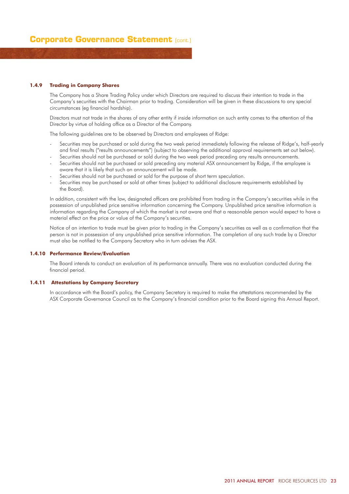### **1.4.9 Trading in Company Shares**

The Company has a Share Trading Policy under which Directors are required to discuss their intention to trade in the Company's securities with the Chairman prior to trading. Consideration will be given in these discussions to any special circumstances (eg financial hardship).

Directors must not trade in the shares of any other entity if inside information on such entity comes to the attention of the Director by virtue of holding office as a Director of the Company.

The following guidelines are to be observed by Directors and employees of Ridge:

- Securities may be purchased or sold during the two week period immediately following the release of Ridge's, half-yearly and final results ("results announcements") (subject to observing the additional approval requirements set out below).
- Securities should not be purchased or sold during the two week period preceding any results announcements.
- Securities should not be purchased or sold preceding any material ASX announcement by Ridge, if the employee is aware that it is likely that such an announcement will be made.
- Securities should not be purchased or sold for the purpose of short term speculation.
- Securities may be purchased or sold at other times (subject to additional disclosure requirements established by the Board).

In addition, consistent with the law, designated officers are prohibited from trading in the Company's securities while in the possession of unpublished price sensitive information concerning the Company. Unpublished price sensitive information is information regarding the Company of which the market is not aware and that a reasonable person would expect to have a material effect on the price or value of the Company's securities.

Notice of an intention to trade must be given prior to trading in the Company's securities as well as a confirmation that the person is not in possession of any unpublished price sensitive information. The completion of any such trade by a Director must also be notified to the Company Secretary who in turn advises the ASX.

### **1.4.10 Performance Review/Evaluation**

The Board intends to conduct an evaluation of its performance annually. There was no evaluation conducted during the financial period.

### **1.4.11 Attestations by Company Secretary**

In accordance with the Board's policy, the Company Secretary is required to make the attestations recommended by the ASX Corporate Governance Council as to the Company's financial condition prior to the Board signing this Annual Report.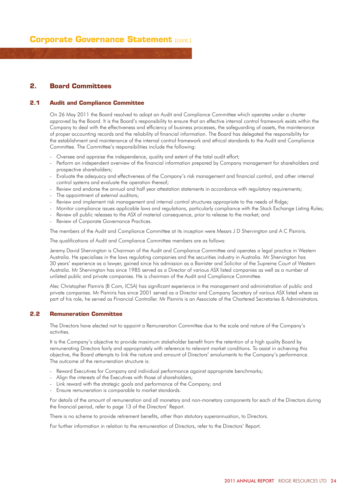# **2. Board Committees**

# **2.1 Audit and Compliance Committee**

On 26 May 2011 the Board resolved to adopt an Audit and Compliance Committee which operates under a charter approved by the Board. It is the Board's responsibility to ensure that an effective internal control framework exists within the Company to deal with the effectiveness and efficiency of business processes, the safeguarding of assets, the maintenance of proper accounting records and the reliability of financial information. The Board has delegated the responsibility for the establishment and maintenance of the internal control framework and ethical standards to the Audit and Compliance Committee. The Committee's responsibilities include the following:

- Oversee and appraise the independence, quality and extent of the total audit effort;
- Perform an independent overview of the financial information prepared by Company management for shareholders and prospective shareholders;
- Evaluate the adequacy and effectiveness of the Company's risk management and financial control, and other internal control systems and evaluate the operation thereof;
- Review and endorse the annual and half year attestation statements in accordance with regulatory requirements;
- The appointment of external auditors;
- Review and implement risk management and internal control structures appropriate to the needs of Ridge;
- Monitor compliance issues applicable laws and regulations, particularly compliance with the Stock Exchange Listing Rules;
- Review all public releases to the ASX of material consequence, prior to release to the market; and
- Review of Corporate Governance Practices.

The members of the Audit and Compliance Committee at its inception were Messrs J D Shervington and A C Pismiris.

The qualifications of Audit and Compliance Committee members are as follows:

Jeremy David Shervington is Chairman of the Audit and Compliance Committee and operates a legal practice in Western Australia. He specialises in the laws regulating companies and the securities industry in Australia. Mr Shervington has 30 years' experience as a lawyer, gained since his admission as a Barrister and Solicitor of the Supreme Court of Western Australia. Mr Shervington has since 1985 served as a Director of various ASX listed companies as well as a number of unlisted public and private companies. He is chairman of the Audit and Compliance Committee.

Alec Christopher Pismiris (B Com, ICSA) has significant experience in the management and administration of public and private companies. Mr Pismiris has since 2001 served as a Director and Company Secretary of various ASX listed where as part of his role, he served as Financial Controller. Mr Pismiris is an Associate of the Chartered Secretaries & Administrators.

# **2.2 Remuneration Committee**

The Directors have elected not to appoint a Remuneration Committee due to the scale and nature of the Company's activities.

It is the Company's objective to provide maximum stakeholder benefit from the retention of a high quality Board by remunerating Directors fairly and appropriately with reference to relevant market conditions. To assist in achieving this objective, the Board attempts to link the nature and amount of Directors' emoluments to the Company's performance. The outcome of the remuneration structure is:

- Reward Executives for Company and individual performance against appropriate benchmarks;
- Align the interests of the Executives with those of shareholders;
- Link reward with the strategic goals and performance of the Company; and
- Ensure remuneration is comparable to market standards.

For details of the amount of remuneration and all monetary and non-monetary components for each of the Directors during the financial period, refer to page 13 of the Directors' Report.

There is no scheme to provide retirement benefits, other than statutory superannuation, to Directors.

For further information in relation to the remuneration of Directors, refer to the Directors' Report.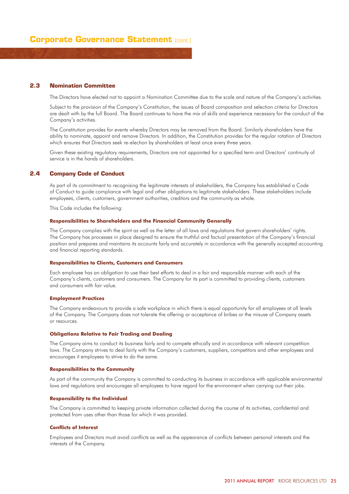### **2.3 Nomination Committee**

The Directors have elected not to appoint a Nomination Committee due to the scale and nature of the Company's activities.

Subject to the provision of the Company's Constitution, the issues of Board composition and selection criteria for Directors are dealt with by the full Board. The Board continues to have the mix of skills and experience necessary for the conduct of the Company's activities.

The Constitution provides for events whereby Directors may be removed from the Board. Similarly shareholders have the ability to nominate, appoint and remove Directors. In addition, the Constitution provides for the regular rotation of Directors which ensures that Directors seek re-election by shareholders at least once every three years.

Given these existing regulatory requirements, Directors are not appointed for a specified term and Directors' continuity of service is in the hands of shareholders.

# **2.4 Company Code of Conduct**

As part of its commitment to recognising the legitimate interests of stakeholders, the Company has established a Code of Conduct to guide compliance with legal and other obligations to legitimate stakeholders. These stakeholders include employees, clients, customers, government authorities, creditors and the community as whole.

This Code includes the following:

### **Responsibilities to Shareholders and the Financial Community Generally**

The Company complies with the spirit as well as the letter of all laws and regulations that govern shareholders' rights. The Company has processes in place designed to ensure the truthful and factual presentation of the Company's financial position and prepares and maintains its accounts fairly and accurately in accordance with the generally accepted accounting and financial reporting standards.

#### **Responsibilities to Clients, Customers and Consumers**

Each employee has an obligation to use their best efforts to deal in a fair and responsible manner with each of the Company's clients, customers and consumers. The Company for its part is committed to providing clients, customers and consumers with fair value.

#### **Employment Practices**

The Company endeavours to provide a safe workplace in which there is equal opportunity for all employees at all levels of the Company. The Company does not tolerate the offering or acceptance of bribes or the misuse of Company assets or resources.

#### **Obligations Relative to Fair Trading and Dealing**

The Company aims to conduct its business fairly and to compete ethically and in accordance with relevant competition laws. The Company strives to deal fairly with the Company's customers, suppliers, competitors and other employees and encourages it employees to strive to do the same.

#### **Responsibilities to the Community**

As part of the community the Company is committed to conducting its business in accordance with applicable environmental laws and regulations and encourages all employees to have regard for the environment when carrying out their jobs.

#### **Responsibility to the Individual**

The Company is committed to keeping private information collected during the course of its activities, confidential and protected from uses other than those for which it was provided.

### **Conflicts of Interest**

Employees and Directors must avoid conflicts as well as the appearance of conflicts between personal interests and the interests of the Company.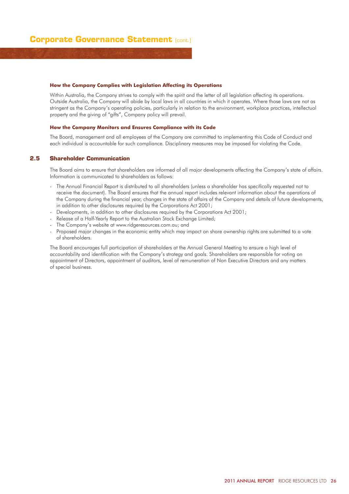### **How the Company Complies with Legislation Affecting its Operations**

Within Australia, the Company strives to comply with the spirit and the letter of all legislation affecting its operations. Outside Australia, the Company will abide by local laws in all countries in which it operates. Where those laws are not as stringent as the Company's operating policies, particularly in relation to the environment, workplace practices, intellectual property and the giving of "gifts", Company policy will prevail.

#### **How the Company Monitors and Ensures Compliance with its Code**

The Board, management and all employees of the Company are committed to implementing this Code of Conduct and each individual is accountable for such compliance. Disciplinary measures may be imposed for violating the Code.

# **2.5 Shareholder Communication**

The Board aims to ensure that shareholders are informed of all major developments affecting the Company's state of affairs. Information is communicated to shareholders as follows:

- The Annual Financial Report is distributed to all shareholders (unless a shareholder has specifically requested not to receive the document). The Board ensures that the annual report includes relevant information about the operations of the Company during the financial year, changes in the state of affairs of the Company and details of future developments, in addition to other disclosures required by the Corporations Act 2001;
- Developments, in addition to other disclosures required by the Corporations Act 2001;
- Release of a Half-Yearly Report to the Australian Stock Exchange Limited;
- The Company's website at www.ridgeresources.com.au; and
- Proposed major changes in the economic entity which may impact on share ownership rights are submitted to a vote of shareholders.

The Board encourages full participation of shareholders at the Annual General Meeting to ensure a high level of accountability and identification with the Company's strategy and goals. Shareholders are responsible for voting on appointment of Directors, appointment of auditors, level of remuneration of Non Executive Directors and any matters of special business.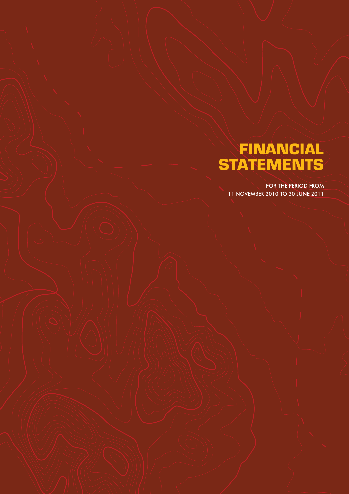# **FINANCIAL ST**

FOR THE PERIOD FROM 11 November 2010 to 30 June 2011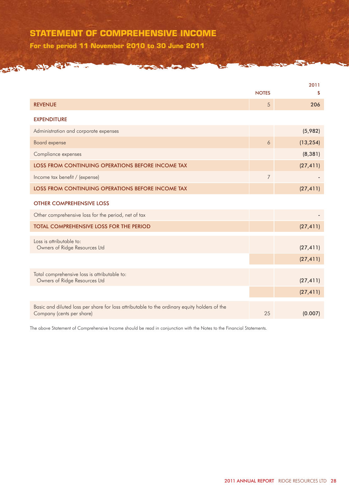# **Statement of Comprehensive Income**

**For the period 11 November 2010 to 30 June 2011**

当日、学生

**PACKARD** 

|                                                                                                                           | <b>NOTES</b>   | 2011<br>\$ |
|---------------------------------------------------------------------------------------------------------------------------|----------------|------------|
| <b>REVENUE</b>                                                                                                            | 5              | 206        |
| <b>EXPENDITURE</b>                                                                                                        |                |            |
| Administration and corporate expenses                                                                                     |                | (5,982)    |
| Board expense                                                                                                             | 6              | (13, 254)  |
| Compliance expenses                                                                                                       |                | (8, 381)   |
| LOSS FROM CONTINUING OPERATIONS BEFORE INCOME TAX                                                                         |                | (27, 411)  |
| Income tax benefit / (expense)                                                                                            | $\overline{7}$ |            |
| LOSS FROM CONTINUING OPERATIONS BEFORE INCOME TAX                                                                         |                | (27, 411)  |
| <b>OTHER COMPREHENSIVE LOSS</b>                                                                                           |                |            |
| Other comprehensive loss for the period, net of tax                                                                       |                |            |
| <b>TOTAL COMPREHENSIVE LOSS FOR THE PERIOD</b>                                                                            |                | (27, 411)  |
| Loss is attributable to:<br>Owners of Ridge Resources Ltd                                                                 |                | (27, 411)  |
|                                                                                                                           |                | (27, 411)  |
| Total comprehensive loss is attributable to:<br>Owners of Ridge Resources Ltd                                             |                | (27, 411)  |
|                                                                                                                           |                | (27, 411)  |
| Basic and diluted loss per share for loss attributable to the ordinary equity holders of the<br>Company (cents per share) | 25             | (0.007)    |

**READ STATE** 

۱.

The above Statement of Comprehensive Income should be read in conjunction with the Notes to the Financial Statements.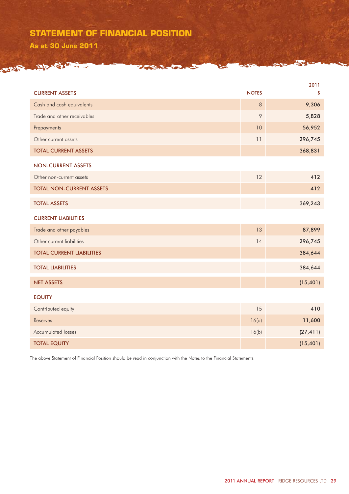# **Statement of Financial Position**

**As at 30 June 2011**

当日、李佳子

**PATE TO** 

| <b>CURRENT ASSETS</b>            | <b>NOTES</b> | 2011<br>\$ |
|----------------------------------|--------------|------------|
| Cash and cash equivalents        | 8            | 9,306      |
| Trade and other receivables      | 9            | 5,828      |
| Prepayments                      | 10           | 56,952     |
| Other current assets             | 11           | 296,745    |
| <b>TOTAL CURRENT ASSETS</b>      |              | 368,831    |
| <b>NON-CURRENT ASSETS</b>        |              |            |
| Other non-current assets         | 12           | 412        |
| <b>TOTAL NON-CURRENT ASSETS</b>  |              | 412        |
| <b>TOTAL ASSETS</b>              |              | 369,243    |
| <b>CURRENT LIABILITIES</b>       |              |            |
| Trade and other payables         | 13           | 87,899     |
| Other current liabilities        | 14           | 296,745    |
| <b>TOTAL CURRENT LIABILITIES</b> |              | 384,644    |
| <b>TOTAL LIABILITIES</b>         |              | 384,644    |
| <b>NET ASSETS</b>                |              | (15, 401)  |
| <b>EQUITY</b>                    |              |            |
| Contributed equity               | 15           | 410        |
| Reserves                         | 16(a)        | 11,600     |
| Accumulated losses               | 16(b)        | (27, 411)  |
| <b>TOTAL EQUITY</b>              |              | (15, 401)  |

 $\mathcal{Z}$ 

**Service** 

The above Statement of Financial Position should be read in conjunction with the Notes to the Financial Statements.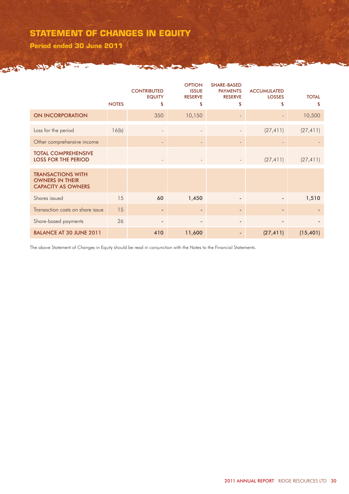# **Statement of Changes in Equity**

**Period ended 30 June 2011**

Ţ.

当日一等

**ANGEL** 

|                                                                                 | <b>NOTES</b> | <b>CONTRIBUTED</b><br><b>EQUITY</b><br>\$ | <b>OPTION</b><br><b>ISSUE</b><br><b>RESERVE</b><br>\$ | <b>SHARE-BASED</b><br><b>PAYMENTS</b><br><b>RESERVE</b><br>\$ | <b>ACCUMULATED</b><br><b>LOSSES</b><br>\$ | <b>TOTAL</b><br>\$ |
|---------------------------------------------------------------------------------|--------------|-------------------------------------------|-------------------------------------------------------|---------------------------------------------------------------|-------------------------------------------|--------------------|
| <b>ON INCORPORATION</b>                                                         |              | 350                                       | 10,150                                                | $\overline{\phantom{a}}$                                      | $\overline{\phantom{a}}$                  | 10,500             |
| Loss for the period                                                             | 16(b)        |                                           |                                                       |                                                               | (27, 411)                                 | (27, 411)          |
| Other comprehensive income                                                      |              |                                           | $\overline{\phantom{a}}$                              | $\overline{\phantom{a}}$                                      | $\qquad \qquad \blacksquare$              |                    |
| <b>TOTAL COMPREHENSIVE</b><br><b>LOSS FOR THE PERIOD</b>                        |              |                                           |                                                       |                                                               | (27, 411)                                 | (27, 411)          |
| <b>TRANSACTIONS WITH</b><br><b>OWNERS IN THEIR</b><br><b>CAPACITY AS OWNERS</b> |              |                                           |                                                       |                                                               |                                           |                    |
| Shares issued                                                                   | 15           | 60                                        | 1,450                                                 |                                                               |                                           | 1,510              |
| Transaction costs on share issue                                                | 15           | ٠                                         | ٠                                                     | ٠                                                             | ٠                                         |                    |
| Share-based payments                                                            | 26           | $\blacksquare$                            | $\overline{\phantom{a}}$                              | $\blacksquare$                                                |                                           |                    |
| <b>BALANCE AT 30 JUNE 2011</b>                                                  |              | 410                                       | 11,600                                                | ٠                                                             | (27, 411)                                 | (15, 401)          |

5

The above Statement of Changes in Equity should be read in conjunction with the Notes to the Financial Statements.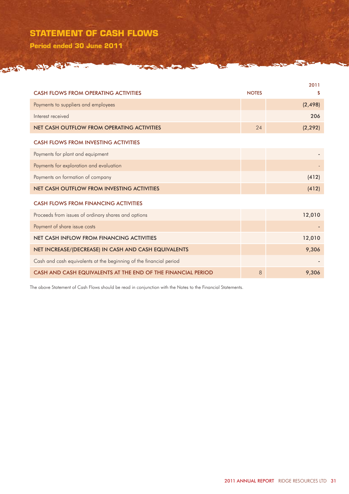# **Statement of Cash Flows**

**Period ended 30 June 2011**

Turisti

当日、李平

**PATH!** 

|                                                                    |              | 2011     |
|--------------------------------------------------------------------|--------------|----------|
| <b>CASH FLOWS FROM OPERATING ACTIVITIES</b>                        | <b>NOTES</b> | \$       |
| Payments to suppliers and employees                                |              | (2, 498) |
| Interest received                                                  |              | 206      |
| NET CASH OUTFLOW FROM OPERATING ACTIVITIES                         | 24           | (2, 292) |
| <b>CASH FLOWS FROM INVESTING ACTIVITIES</b>                        |              |          |
| Payments for plant and equipment                                   |              |          |
| Payments for exploration and evaluation                            |              |          |
| Payments on formation of company                                   |              | (412)    |
| NET CASH OUTFLOW FROM INVESTING ACTIVITIES                         |              | (412)    |
| <b>CASH FLOWS FROM FINANCING ACTIVITIES</b>                        |              |          |
| Proceeds from issues of ordinary shares and options                |              | 12,010   |
| Payment of share issue costs                                       |              |          |
| NET CASH INFLOW FROM FINANCING ACTIVITIES                          |              | 12,010   |
| NET INCREASE/(DECREASE) IN CASH AND CASH EQUIVALENTS               |              | 9,306    |
| Cash and cash equivalents at the beginning of the financial period |              |          |
| CASH AND CASH EQUIVALENTS AT THE END OF THE FINANCIAL PERIOD       | 8            | 9,306    |

5

The above Statement of Cash Flows should be read in conjunction with the Notes to the Financial Statements.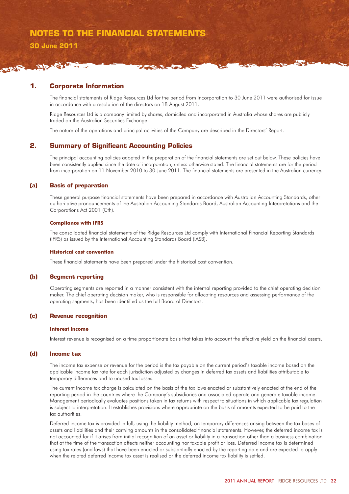**30 June 2011**

 $255 - 251$ 

**PATE 18** 

# **1. Corporate Information**

The financial statements of Ridge Resources Ltd for the period from incorporation to 30 June 2011 were authorised for issue in accordance with a resolution of the directors on 18 August 2011.

Ridge Resources Ltd is a company limited by shares, domiciled and incorporated in Australia whose shares are publicly traded on the Australian Securities Exchange.

The nature of the operations and principal activities of the Company are described in the Directors' Report.

# **2. Summary of Significant Accounting Policies**

The principal accounting policies adopted in the preparation of the financial statements are set out below. These policies have been consistently applied since the date of incorporation, unless otherwise stated. The financial statements are for the period from incorporation on 11 November 2010 to 30 June 2011. The financial statements are presented in the Australian currency.

### **(a) Basis of preparation**

These general purpose financial statements have been prepared in accordance with Australian Accounting Standards, other authoritative pronouncements of the Australian Accounting Standards Board, Australian Accounting Interpretations and the Corporations Act 2001 (Cth).

#### **Compliance with IFRS**

The consolidated financial statements of the Ridge Resources Ltd comply with International Financial Reporting Standards (IFRS) as issued by the International Accounting Standards Board (IASB).

### **Historical cost convention**

These financial statements have been prepared under the historical cost convention.

### **(b) Segment reporting**

Operating segments are reported in a manner consistent with the internal reporting provided to the chief operating decision maker. The chief operating decision maker, who is responsible for allocating resources and assessing performance of the operating segments, has been identified as the full Board of Directors.

# **(c) Revenue recognition**

### **Interest income**

Interest revenue is recognised on a time proportionate basis that takes into account the effective yield on the financial assets.

### **(d) Income tax**

The income tax expense or revenue for the period is the tax payable on the current period's taxable income based on the applicable income tax rate for each jurisdiction adjusted by changes in deferred tax assets and liabilities attributable to temporary differences and to unused tax losses.

The current income tax charge is calculated on the basis of the tax laws enacted or substantively enacted at the end of the reporting period in the countries where the Company's subsidiaries and associated operate and generate taxable income. Management periodically evaluates positions taken in tax returns with respect to situations in which applicable tax regulation is subject to interpretation. It establishes provisions where appropriate on the basis of amounts expected to be paid to the tax authorities.

Deferred income tax is provided in full, using the liability method, on temporary differences arising between the tax bases of assets and liabilities and their carrying amounts in the consolidated financial statements. However, the deferred income tax is not accounted for if it arises from initial recognition of an asset or liability in a transaction other than a business combination that at the time of the transaction affects neither accounting nor taxable profit or loss. Deferred income tax is determined using tax rates (and laws) that have been enacted or substantially enacted by the reporting date and are expected to apply when the related deferred income tax asset is realised or the deferred income tax liability is settled.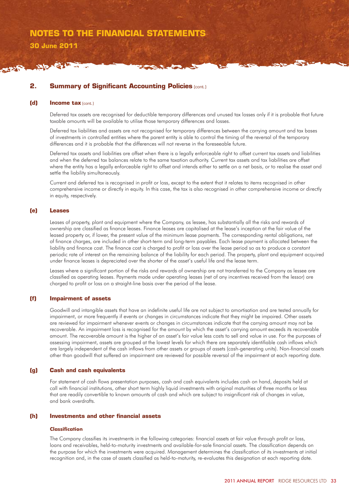**30 June 2011**

 $355 - 2512$ 

**PARKER** 

# **2. Summary of Significant Accounting Policies (cont.)**

### **(d) Income tax** (cont.)

Deferred tax assets are recognised for deductible temporary differences and unused tax losses only if it is probable that future taxable amounts will be available to utilise those temporary differences and losses.

Deferred tax liabilities and assets are not recognised for temporary differences between the carrying amount and tax bases of investments in controlled entities where the parent entity is able to control the timing of the reversal of the temporary differences and it is probable that the differences will not reverse in the foreseeable future.

Deferred tax assets and liabilities are offset when there is a legally enforceable right to offset current tax assets and liabilities and when the deferred tax balances relate to the same taxation authority. Current tax assets and tax liabilities are offset where the entity has a legally enforceable right to offset and intends either to settle on a net basis, or to realise the asset and settle the liability simultaneously.

Current and deferred tax is recognised in profit or loss, except to the extent that it relates to items recognised in other comprehensive income or directly in equity. In this case, the tax is also recognised in other comprehensive income or directly in equity, respectively.

### **(e) Leases**

Leases of property, plant and equipment where the Company, as lessee, has substantially all the risks and rewards of ownership are classified as finance leases. Finance leases are capitalised at the lease's inception at the fair value of the leased property or, if lower, the present value of the minimum lease payments. The corresponding rental obligations, net of finance charges, are included in other short-term and long-term payables. Each lease payment is allocated between the liability and finance cost. The finance cost is charged to profit or loss over the lease period so as to produce a constant periodic rate of interest on the remaining balance of the liability for each period. The property, plant and equipment acquired under finance leases is depreciated over the shorter of the asset's useful life and the lease term.

Leases where a significant portion of the risks and rewards of ownership are not transferred to the Company as lessee are classified as operating leases. Payments made under operating leases (net of any incentives received from the lessor) are charged to profit or loss on a straight-line basis over the period of the lease.

### **(f) Impairment of assets**

Goodwill and intangible assets that have an indefinite useful life are not subject to amortisation and are tested annually for impairment, or more frequently if events or changes in circumstances indicate that they might be impaired. Other assets are reviewed for impairment whenever events or changes in circumstances indicate that the carrying amount may not be recoverable. An impairment loss is recognised for the amount by which the asset's carrying amount exceeds its recoverable amount. The recoverable amount is the higher of an asset's fair value less costs to sell and value in use. For the purposes of assessing impairment, assets are grouped at the lowest levels for which there are separately identifiable cash inflows which are largely independent of the cash inflows from other assets or groups of assets (cash-generating units). Non-financial assets other than goodwill that suffered an impairment are reviewed for possible reversal of the impairment at each reporting date.

### **(g) Cash and cash equivalents**

For statement of cash flows presentation purposes, cash and cash equivalents includes cash on hand, deposits held at call with financial institutions, other short term highly liquid investments with original maturities of three months or less that are readily convertible to known amounts of cash and which are subject to insignificant risk of changes in value, and bank overdrafts.

# **(h) Investments and other financial assets**

### **Classification**

The Company classifies its investments in the following categories: financial assets at fair value through profit or loss, loans and receivables, held-to-maturity investments and available-for-sale financial assets. The classification depends on the purpose for which the investments were acquired. Management determines the classification of its investments at initial recognition and, in the case of assets classified as held-to-maturity, re-evaluates this designation at each reporting date.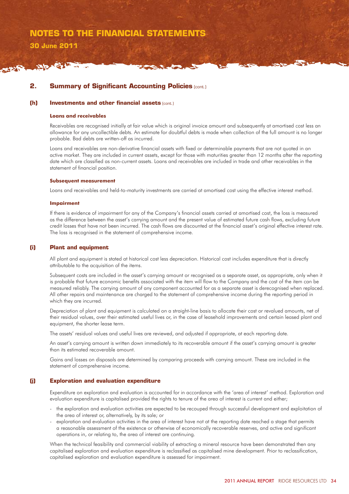**30 June 2011**

 $355 - 257$ 

**PARKER** 

# **2. Summary of Significant Accounting Policies (cont.)**

# **(h) Investments and other financial assets** (cont.)

#### **Loans and receivables**

Receivables are recognised initially at fair value which is original invoice amount and subsequently at amortised cost less an allowance for any uncollectible debts. An estimate for doubtful debts is made when collection of the full amount is no longer probable. Bad debts are written-off as incurred.

Loans and receivables are non-derivative financial assets with fixed or determinable payments that are not quoted in an active market. They are included in current assets, except for those with maturities areater than 12 months after the reporting date which are classified as non-current assets. Loans and receivables are included in trade and other receivables in the statement of financial position.

#### **Subsequent measurement**

Loans and receivables and held-to-maturity investments are carried at amortised cost using the effective interest method.

#### **Impairment**

If there is evidence of impairment for any of the Company's financial assets carried at amortised cost, the loss is measured as the difference between the asset's carrying amount and the present value of estimated future cash flows, excluding future credit losses that have not been incurred. The cash flows are discounted at the financial asset's original effective interest rate. The loss is recognised in the statement of comprehensive income.

#### **(i) Plant and equipment**

All plant and equipment is stated at historical cost less depreciation. Historical cost includes expenditure that is directly attributable to the acquisition of the items.

Subsequent costs are included in the asset's carrying amount or recognised as a separate asset, as appropriate, only when it is probable that future economic benefits associated with the item will flow to the Company and the cost of the item can be measured reliably. The carrying amount of any component accounted for as a separate asset is derecognised when replaced. All other repairs and maintenance are charged to the statement of comprehensive income during the reporting period in which they are incurred.

Depreciation of plant and equipment is calculated on a straight-line basis to allocate their cost or revalued amounts, net of their residual values, over their estimated useful lives or, in the case of leasehold improvements and certain leased plant and equipment, the shorter lease term.

The assets' residual values and useful lives are reviewed, and adjusted if appropriate, at each reporting date.

An asset's carrying amount is written down immediately to its recoverable amount if the asset's carrying amount is greater than its estimated recoverable amount.

Gains and losses on disposals are determined by comparing proceeds with carrying amount. These are included in the statement of comprehensive income.

### **(j) Exploration and evaluation expenditure**

Expenditure on exploration and evaluation is accounted for in accordance with the 'area of interest' method. Exploration and evaluation expenditure is capitalised provided the rights to tenure of the area of interest is current and either;

- the exploration and evaluation activities are expected to be recouped through successful development and exploitation of the area of interest or, alternatively, by its sale; or
- exploration and evaluation activities in the area of interest have not at the reporting date reached a stage that permits a reasonable assessment of the existence or otherwise of economically recoverable reserves, and active and significant operations in, or relating to, the area of interest are continuing.

When the technical feasibility and commercial viability of extracting a mineral resource have been demonstrated then any capitalised exploration and evaluation expenditure is reclassified as capitalised mine development. Prior to reclassification, capitalised exploration and evaluation expenditure is assessed for impairment.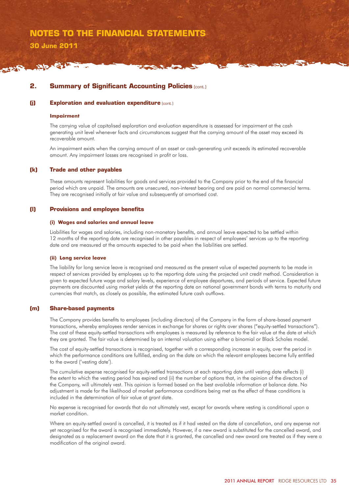**30 June 2011**

 $255 - 2512$ 

BATH T

# **2. Summary of Significant Accounting Policies (cont.)**

#### **(j) Exploration and evaluation expenditure** (cont.)

#### **Impairment**

The carrying value of capitalised exploration and evaluation expenditure is assessed for impairment at the cash generating unit level whenever facts and circumstances suggest that the carrying amount of the asset may exceed its recoverable amount.

An impairment exists when the carrying amount of an asset or cash-generating unit exceeds its estimated recoverable amount. Any impairment losses are recognised in profit or loss.

### **(k) Trade and other payables**

These amounts represent liabilities for goods and services provided to the Company prior to the end of the financial period which are unpaid. The amounts are unsecured, non-interest bearing and are paid on normal commercial terms. They are recognised initially at fair value and subsequently at amortised cost.

### **(l) Provisions and employee benefits**

#### **(i) Wages and salaries and annual leave**

Liabilities for wages and salaries, including non-monetary benefits, and annual leave expected to be settled within 12 months of the reporting date are recognised in other payables in respect of employees' services up to the reporting date and are measured at the amounts expected to be paid when the liabilities are settled.

#### **(ii) Long service leave**

The liability for long service leave is recognised and measured as the present value of expected payments to be made in respect of services provided by employees up to the reporting date using the projected unit credit method. Consideration is given to expected future wage and salary levels, experience of employee departures, and periods of service. Expected future payments are discounted using market yields at the reporting date on national government bonds with terms to maturity and currencies that match, as closely as possible, the estimated future cash outflows.

### **(m) Share-based payments**

The Company provides benefits to employees (including directors) of the Company in the form of share-based payment transactions, whereby employees render services in exchange for shares or rights over shares ("equity-settled transactions"). The cost of these equity-settled transactions with employees is measured by reference to the fair value at the date at which they are granted. The fair value is determined by an internal valuation using either a binomial or Black Scholes model.

The cost of equity-settled transactions is recognised, together with a corresponding increase in equity, over the period in which the performance conditions are fulfilled, ending on the date on which the relevant employees become fully entitled to the award ('vesting date').

The cumulative expense recognised for equity-settled transactions at each reporting date until vesting date reflects (i) the extent to which the vesting period has expired and (ii) the number of options that, in the opinion of the directors of the Company, will ultimately vest. This opinion is formed based on the best available information at balance date. No adjustment is made for the likelihood of market performance conditions being met as the effect of these conditions is included in the determination of fair value at grant date.

No expense is recognised for awards that do not ultimately vest, except for awards where vesting is conditional upon a market condition.

Where an equity-settled award is cancelled, it is treated as if it had vested on the date of cancellation, and any expense not yet recognised for the award is recognised immediately. However, if a new award is substituted for the cancelled award, and designated as a replacement award on the date that it is granted, the cancelled and new award are treated as if they were a modification of the original award.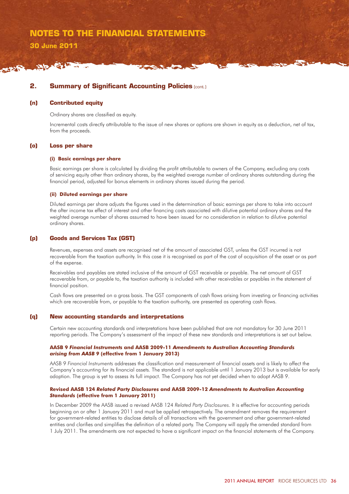**30 June 2011**

 $25 - 2312$ 

BATH T

# **2. Summary of Significant Accounting Policies (cont.)**

#### **(n) Contributed equity**

Ordinary shares are classified as equity.

Incremental costs directly attributable to the issue of new shares or options are shown in equity as a deduction, net of tax, from the proceeds.

#### **(o) Loss per share**

#### **(i) Basic earnings per share**

Basic earnings per share is calculated by dividing the profit attributable to owners of the Company, excluding any costs of servicing equity other than ordinary shares, by the weighted average number of ordinary shares outstanding during the financial period, adjusted for bonus elements in ordinary shares issued during the period.

#### **(ii) Diluted earnings per share**

Diluted earnings per share adjusts the figures used in the determination of basic earnings per share to take into account the after income tax effect of interest and other financing costs associated with dilutive potential ordinary shares and the weighted average number of shares assumed to have been issued for no consideration in relation to dilutive potential ordinary shares.

#### **(p) Goods and Services Tax (GST)**

Revenues, expenses and assets are recognised net of the amount of associated GST, unless the GST incurred is not recoverable from the taxation authority. In this case it is recognised as part of the cost of acquisition of the asset or as part of the expense.

Receivables and payables are stated inclusive of the amount of GST receivable or payable. The net amount of GST recoverable from, or payable to, the taxation authority is included with other receivables or payables in the statement of financial position.

Cash flows are presented on a gross basis. The GST components of cash flows arising from investing or financing activities which are recoverable from, or payable to the taxation authority, are presented as operating cash flows.

#### **(q) New accounting standards and interpretations**

Certain new accounting standards and interpretations have been published that are not mandatory for 30 June 2011 reporting periods. The Company's assessment of the impact of these new standards and interpretations is set out below.

#### **AASB 9** *Financial Instruments* **and AASB 2009-11** *Amendments to Australian Accounting Standards arising from AASB 9* **(effective from 1 January 2013)**

AASB 9 *Financial Instruments* addresses the classification and measurement of financial assets and is likely to affect the Company's accounting for its financial assets. The standard is not applicable until 1 January 2013 but is available for early adoption. The group is yet to assess its full impact. The Company has not yet decided when to adopt AASB 9.

# **Revised AASB 124** *Related Party Disclosures* **and AASB 2009-12** *Amendments to Australian Accounting Standards* **(effective from 1 January 2011)**

In December 2009 the AASB issued a revised AASB 124 *Related Party Disclosures*. It is effective for accounting periods beginning on or after 1 January 2011 and must be applied retrospectively. The amendment removes the requirement for government-related entities to disclose details of all transactions with the government and other government-related entities and clarifies and simplifies the definition of a related party. The Company will apply the amended standard from 1 July 2011. The amendments are not expected to have a significant impact on the financial statements of the Company.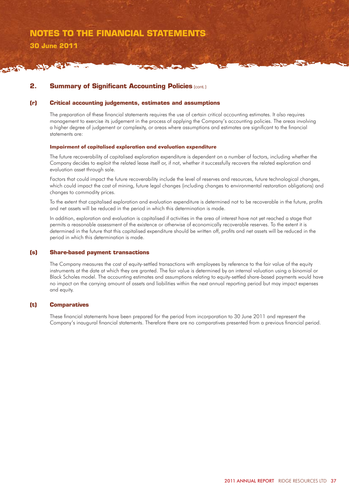**30 June 2011**

 $255 - 2512$ 

BATH T

# **2. Summary of Significant Accounting Policies (cont.)**

### **(r) Critical accounting judgements, estimates and assumptions**

The preparation of these financial statements requires the use of certain critical accounting estimates. It also requires management to exercise its judgement in the process of applying the Company's accounting policies. The areas involving a higher degree of judgement or complexity, or areas where assumptions and estimates are significant to the financial statements are:

#### **Impairment of capitalised exploration and evaluation expenditure**

The future recoverability of capitalised exploration expenditure is dependent on a number of factors, including whether the Company decides to exploit the related lease itself or, if not, whether it successfully recovers the related exploration and evaluation asset through sale.

Factors that could impact the future recoverability include the level of reserves and resources, future technological changes, which could impact the cost of mining, future legal changes (including changes to environmental restoration obligations) and changes to commodity prices.

To the extent that capitalised exploration and evaluation expenditure is determined not to be recoverable in the future, profits and net assets will be reduced in the period in which this determination is made.

In addition, exploration and evaluation is capitalised if activities in the area of interest have not yet reached a stage that permits a reasonable assessment of the existence or otherwise of economically recoverable reserves. To the extent it is determined in the future that this capitalised expenditure should be written off, profits and net assets will be reduced in the period in which this determination is made.

### **(s) Share-based payment transactions**

The Company measures the cost of equity-settled transactions with employees by reference to the fair value of the equity instruments at the date at which they are granted. The fair value is determined by an internal valuation using a binomial or Black Scholes model. The accounting estimates and assumptions relating to equity-settled share-based payments would have no impact on the carrying amount of assets and liabilities within the next annual reporting period but may impact expenses and equity.

# **(t) Comparatives**

These financial statements have been prepared for the period from incorporation to 30 June 2011 and represent the Company's inaugural financial statements. Therefore there are no comparatives presented from a previous financial period.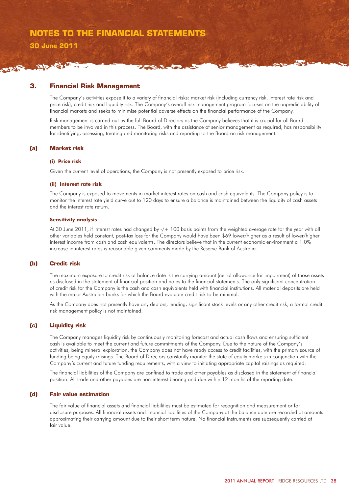**30 June 2011**

 $255 - 251$ 

**PATE TO** 

# **3. Financial Risk Management**

The Company's activities expose it to a variety of financial risks: market risk (including currency risk, interest rate risk and price risk), credit risk and liquidity risk. The Company's overall risk management program focuses on the unpredictability of financial markets and seeks to minimise potential adverse effects on the financial performance of the Company.

Risk management is carried out by the full Board of Directors as the Company believes that it is crucial for all Board members to be involved in this process. The Board, with the assistance of senior management as required, has responsibility for identifying, assessing, treating and monitoring risks and reporting to the Board on risk management.

## **(a) Market risk**

#### **(i) Price risk**

Given the current level of operations, the Company is not presently exposed to price risk.

#### **(ii) Interest rate risk**

The Company is exposed to movements in market interest rates on cash and cash equivalents. The Company policy is to monitor the interest rate yield curve out to 120 days to ensure a balance is maintained between the liquidity of cash assets and the interest rate return.

#### **Sensitivity analysis**

At 30 June 2011, if interest rates had changed by -/+ 100 basis points from the weighted average rate for the year with all other variables held constant, post-tax loss for the Company would have been \$69 lower/higher as a result of lower/higher interest income from cash and cash equivalents. The directors believe that in the current economic environment a 1.0% increase in interest rates is reasonable given comments made by the Reserve Bank of Australia.

### **(b) Credit risk**

The maximum exposure to credit risk at balance date is the carrying amount (net of allowance for impairment) of those assets as disclosed in the statement of financial position and notes to the financial statements. The only significant concentration of credit risk for the Company is the cash and cash equivalents held with financial institutions. All material deposits are held with the major Australian banks for which the Board evaluate credit risk to be minimal.

As the Company does not presently have any debtors, lending, significant stock levels or any other credit risk, a formal credit risk management policy is not maintained.

#### **(c) Liquidity risk**

The Company manages liquidity risk by continuously monitoring forecast and actual cash flows and ensuring sufficient cash is available to meet the current and future commitments of the Company. Due to the nature of the Company's activities, being mineral exploration, the Company does not have ready access to credit facilities, with the primary source of funding being equity raisings. The Board of Directors constantly monitor the state of equity markets in conjunction with the Company's current and future funding requirements, with a view to initiating appropriate capital raisings as required.

The financial liabilities of the Company are confined to trade and other payables as disclosed in the statement of financial position. All trade and other payables are non-interest bearing and due within 12 months of the reporting date.

# **(d) Fair value estimation**

The fair value of financial assets and financial liabilities must be estimated for recognition and measurement or for disclosure purposes. All financial assets and financial liabilities of the Company at the balance date are recorded at amounts approximating their carrying amount due to their short term nature. No financial instruments are subsequently carried at fair value.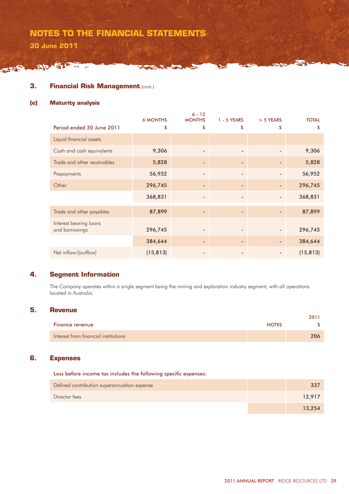**30 June 2011**

 $255 - 2512$ 

**BATALO** 

# **3. Financial Risk Management** (cont.)

# **(e) Maturity analysis**

| Period ended 30 June 2011                | <b>6 MONTHS</b><br>\$ | $6 - 12$<br><b>MONTHS</b><br>\$ | 1 - 5 YEARS<br>\$ | $> 5$ YEARS<br>S | <b>TOTAL</b><br>\$ |
|------------------------------------------|-----------------------|---------------------------------|-------------------|------------------|--------------------|
| Liquid financial assets                  |                       |                                 |                   |                  |                    |
| Cash and cash equivalents                | 9,306                 | ٠                               | ٠                 |                  | 9,306              |
| Trade and other receivables              | 5,828                 | $\overline{a}$                  | ٠                 |                  | 5,828              |
| Prepayments                              | 56,952                |                                 | ٠                 |                  | 56,952             |
| Other                                    | 296,745               | $\overline{\phantom{0}}$        | ٠                 |                  | 296,745            |
|                                          | 368,831               |                                 |                   |                  | 368,831            |
| Trade and other payables                 | 87,899                | ٠                               | ٠                 |                  | 87,899             |
| Interest bearing loans<br>and borrowings | 296,745               |                                 |                   |                  | 296,745            |
|                                          | 384,644               | ٠                               | ٠                 | ٠                | 384,644            |
| Net inflow/(outflow)                     | (15, 813)             |                                 | ٠                 |                  | (15, 813)          |

5

# **4. Segment Information**

The Company operates within a single segment being the mining and exploration industry segment, with all operations located in Australia.

# **5. Revenue**

|                                      |              | 2011 |
|--------------------------------------|--------------|------|
| Finance revenue                      | <b>NOTES</b> |      |
| Interest from financial institutions |              | 206  |

# **6. Expenses**

# Loss before income tax includes the following specific expenses:

| Defined contribution superannuation expense | 337    |
|---------------------------------------------|--------|
| Director fees                               | 12,917 |
|                                             | 13,254 |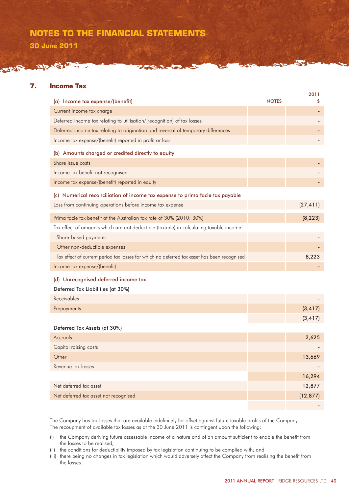**30 June 2011**

ANK

# **7. Income Tax**

e

| (a) Income tax expense/(benefit)                                                            | <b>NOTES</b> | 2011<br>S |
|---------------------------------------------------------------------------------------------|--------------|-----------|
| Current income tax charge                                                                   |              |           |
| Deferred income tax relating to utilisation/(recognition) of tax losses                     |              |           |
| Deferred income tax relating to origination and reversal of temporary differences           |              |           |
| Income tax expense/(benefit) reported in profit or loss                                     |              |           |
| (b) Amounts charged or credited directly to equity                                          |              |           |
| Share issue costs                                                                           |              |           |
| Income tax benefit not recognised                                                           |              |           |
| Income tax expense/(benefit) reported in equity                                             |              |           |
| (c) Numerical reconciliation of income tax expense to prima facie tax payable               |              |           |
| Loss from continuing operations before income tax expense                                   |              | (27, 411) |
| Prima facie tax benefit at the Australian tax rate of 30% (2010: 30%)                       |              | (8, 223)  |
| Tax effect of amounts which are not deductible (taxable) in calculating taxable income:     |              |           |
| Share-based payments                                                                        |              |           |
| Other non-deductible expenses                                                               |              |           |
| Tax effect of current period tax losses for which no deferred tax asset has been recognised |              | 8,223     |
| Income tax expense/(benefit)                                                                |              |           |
| (d) Unrecognised deferred income tax                                                        |              |           |
| Deferred Tax Liabilities (at 30%)                                                           |              |           |
| Receivables                                                                                 |              |           |
| Prepayments                                                                                 |              | (3, 417)  |
|                                                                                             |              | (3, 417)  |
| Deferred Tax Assets (at 30%)                                                                |              |           |
| Accruals                                                                                    |              | 2,625     |
| Capital raising costs                                                                       |              |           |
| Other                                                                                       |              | 13,669    |
| Revenue tax losses                                                                          |              |           |
|                                                                                             |              | 16,294    |
| Net deferred tax asset                                                                      |              | 12,877    |
| Net deferred tax asset not recognised                                                       |              | (12, 877) |
|                                                                                             |              |           |

The Company has tax losses that are available indefinitely for offset against future taxable profits of the Company. The recoupment of available tax losses as at the 30 June 2011 is contingent upon the following:

- (i) the Company deriving future assessable income of a nature and of an amount sufficient to enable the benefit from the losses to be realised;
- (ii) the conditions for deductibility imposed by tax legislation continuing to be complied with; and
- (iii) there being no changes in tax legislation which would adversely affect the Company from realising the benefit from the losses.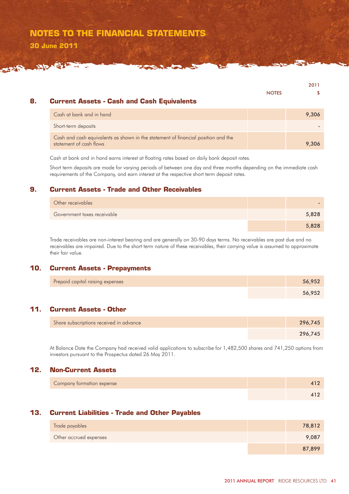**30 June 2011**

一个人 出版

| 8. | <b>Current Assets - Cash and Cash Equivalents</b>                                                            | <b>NOTES</b> | 2011  |
|----|--------------------------------------------------------------------------------------------------------------|--------------|-------|
|    | Cash at bank and in hand                                                                                     |              | 9,306 |
|    | Short-term deposits                                                                                          |              |       |
|    | Cash and cash equivalents as shown in the statement of financial position and the<br>statement of cash flows |              | 9.306 |

Cash at bank and in hand earns interest at floating rates based on daily bank deposit rates.

Short term deposits are made for varying periods of between one day and three months depending on the immediate cash requirements of the Company, and earn interest at the respective short term deposit rates.

# **9. Current Assets - Trade and Other Receivables**

| Other receivables           |       |
|-----------------------------|-------|
| Government taxes receivable | 5,828 |
|                             | 5,828 |

Trade receivables are non-interest bearing and are generally on 30-90 days terms. No receivables are past due and no receivables are impaired. Due to the short term nature of these receivables, their carrying value is assumed to approximate their fair value.

# **10. Current Assets - Prepayments**

| Prepaid capital raising expenses | 56,952 |
|----------------------------------|--------|
|                                  | 56,952 |

# **11. Current Assets - Other**

| Share subscriptions received in advance | 296,745 |
|-----------------------------------------|---------|
|                                         | 296,745 |

At Balance Date the Company had received valid applications to subscribe for 1,482,500 shares and 741,250 options from investors pursuant to the Prospectus dated 26 May 2011.

# **12. Non-Current Assets**

| Company formation expense |  |
|---------------------------|--|
|                           |  |

# **13. Current Liabilities - Trade and Other Payables**

| Trade payables         | 78,812 |
|------------------------|--------|
| Other accrued expenses | 9,087  |
|                        | 87,899 |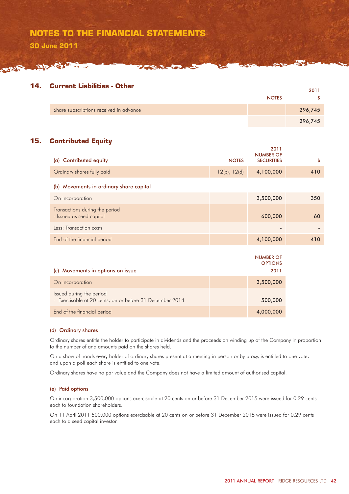**30 June 2011**

œ

 $52h$ 

**PARKET** 

# **14. Current Liabilities - Other**

|                                         | <b>NOTES</b> |         |
|-----------------------------------------|--------------|---------|
| Share subscriptions received in advance |              | 296,745 |
|                                         |              | 296,745 |

# **15. Contributed Equity**

| (a) Contributed equity     | <b>NOTES</b> | <b>NUMBER OF</b><br><b>SECURITIES</b> |     |
|----------------------------|--------------|---------------------------------------|-----|
| Ordinary shares fully paid | 12(b), 12(d) | 4,100,000                             | 410 |

### (b) Movements in ordinary share capital

| On incorporation                                           | 3,500,000 | 350 |
|------------------------------------------------------------|-----------|-----|
| Transactions during the period<br>- Issued as seed capital | 600,000   | 60  |
| Less: Transaction costs                                    |           |     |
| End of the financial period                                | 4,100,000 | 410 |

| (c) Movements in options on issue                                                    | <b>NUMBER OF</b><br><b>OPTIONS</b><br>2011 |
|--------------------------------------------------------------------------------------|--------------------------------------------|
| On incorporation                                                                     | 3,500,000                                  |
| Issued during the period<br>- Exercisable at 20 cents, on or before 31 December 2014 | 500,000                                    |
| End of the financial period                                                          | 4,000,000                                  |

# (d) Ordinary shares

Ordinary shares entitle the holder to participate in dividends and the proceeds on winding up of the Company in proportion to the number of and amounts paid on the shares held.

On a show of hands every holder of ordinary shares present at a meeting in person or by proxy, is entitled to one vote, and upon a poll each share is entitled to one vote.

Ordinary shares have no par value and the Company does not have a limited amount of authorised capital.

# (e) Paid options

On incorporation 3,500,000 options exercisable at 20 cents on or before 31 December 2015 were issued for 0.29 cents each to foundation shareholders.

On 11 April 2011 500,000 options exercisable at 20 cents on or before 31 December 2015 were issued for 0.29 cents each to a seed capital investor.

2011

2011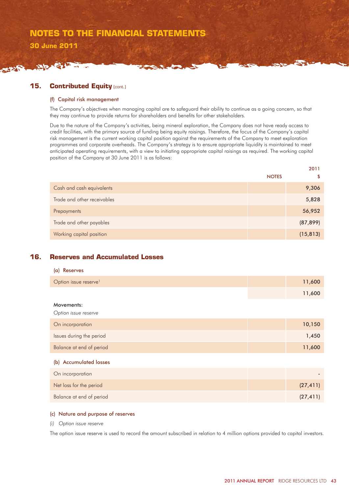**30 June 2011**

 $255 - 251$ 

かんだん

# **15. Contributed Equity (cont.)**

### (f) Capital risk management

The Company's objectives when managing capital are to safeguard their ability to continue as a going concern, so that they may continue to provide returns for shareholders and benefits for other stakeholders.

Due to the nature of the Company's activities, being mineral exploration, the Company does not have ready access to credit facilities, with the primary source of funding being equity raisings. Therefore, the focus of the Company's capital risk management is the current working capital position against the requirements of the Company to meet exploration programmes and corporate overheads. The Company's strategy is to ensure appropriate liquidity is maintained to meet anticipated operating requirements, with a view to initiating appropriate capital raisings as required. The working capital position of the Company at 30 June 2011 is as follows:

|                             | <b>NOTES</b> |           |
|-----------------------------|--------------|-----------|
| Cash and cash equivalents   |              | 9,306     |
| Trade and other receivables |              | 5,828     |
| Prepayments                 |              | 56,952    |
| Trade and other payables    |              | (87, 899) |
| Working capital position    |              | (15, 813) |

# **16. Reserves and Accumulated Losses**

| Reserves<br>(a)                   |                          |
|-----------------------------------|--------------------------|
| Option issue reserve <sup>1</sup> | 11,600                   |
|                                   | 11,600                   |
| Movements:                        |                          |
| Option issue reserve              |                          |
| On incorporation                  | 10,150                   |
| Issues during the period          | 1,450                    |
| Balance at end of period          | 11,600                   |
| (b) Accumulated losses            |                          |
| On incorporation                  | $\overline{\phantom{a}}$ |
| Net loss for the period           | (27, 411)                |
| Balance at end of period          | (27, 411)                |
|                                   |                          |

# (c) Nature and purpose of reserves

*(i) Option issue reserve*

The option issue reserve is used to record the amount subscribed in relation to 4 million options provided to capital investors.

2011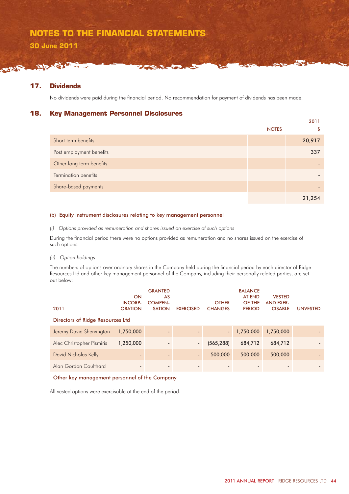**30 June 2011**

**PARKET** 

# **17. Dividends**

œ

 $32h$ 

No dividends were paid during the financial period. No recommendation for payment of dividends has been made.

# **18. Key Management Personnel Disclosures**

|                          |              | 2011   |
|--------------------------|--------------|--------|
|                          | <b>NOTES</b> | s      |
| Short term benefits      |              | 20,917 |
| Post employment benefits |              | 337    |
| Other long term benefits |              |        |
| Termination benefits     |              |        |
| Share-based payments     |              |        |
|                          |              | 21,254 |

# (b) Equity instrument disclosures relating to key management personnel

*(i) Options provided as remuneration and shares issued on exercise of such options*

During the financial period there were no options provided as remuneration and no shares issued on the exercise of such options.

### *(ii) Option holdings*

The numbers of options over ordinary shares in the Company held during the financial period by each director of Ridge Resources Ltd and other key management personnel of the Company, including their personally related parties, are set out below:

| 2011<br>Directors of Ridge Resources Ltd | ON<br><b>INCORP-</b><br><b>ORATION</b> | <b>GRANTED</b><br>AS<br><b>COMPEN-</b><br><b>SATION</b> | <b>EXERCISED</b> | <b>OTHER</b><br><b>CHANGES</b> | <b>BALANCE</b><br><b>AT END</b><br>OF THE<br><b>PERIOD</b> | <b>VESTED</b><br><b>AND EXER-</b><br><b>CISABLE</b> | <b>UNVESTED</b> |
|------------------------------------------|----------------------------------------|---------------------------------------------------------|------------------|--------------------------------|------------------------------------------------------------|-----------------------------------------------------|-----------------|
| Jeremy David Shervington                 | 1,750,000                              | ٠                                                       | ٠                | $\sim$                         | 1,750,000                                                  | 1,750,000                                           |                 |
| Alec Christopher Pismiris                | 1,250,000                              | ٠                                                       | ٠                | (565, 288)                     | 684,712                                                    | 684,712                                             |                 |
| David Nicholas Kelly                     | ٠                                      | ٠                                                       | ٠                | 500,000                        | 500,000                                                    | 500,000                                             |                 |
| Alan Gordon Coulthard                    |                                        | $\overline{\phantom{a}}$                                |                  |                                |                                                            |                                                     |                 |

### Other key management personnel of the Company

All vested options were exercisable at the end of the period.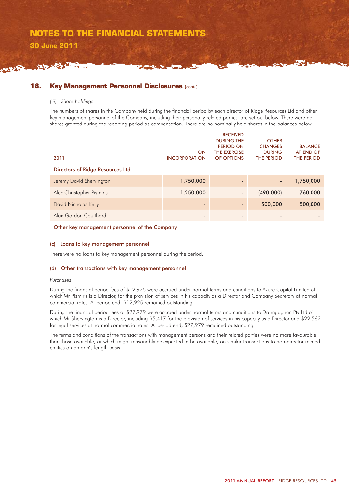**30 June 2011**

**VE** 

 $x + y$ 

かんだん

# **18. Key Management Personnel Disclosures** (cont.)

#### *(iii) Share holdings*

The numbers of shares in the Company held during the financial period by each director of Ridge Resources Ltd and other key management personnel of the Company, including their personally related parties, are set out below. There were no shares granted during the reporting period as compensation. There are no nominally held shares in the balances below.

Received

|                                  |                      | <b>RECEIVED</b>   |                   |                   |
|----------------------------------|----------------------|-------------------|-------------------|-------------------|
|                                  |                      | <b>DURING THE</b> | <b>OTHER</b>      |                   |
|                                  |                      | PERIOD ON         | <b>CHANGES</b>    | <b>BALANCE</b>    |
|                                  | ON                   | THE EXERCISE      | <b>DURING</b>     | AT END OF         |
| 2011                             | <b>INCORPORATION</b> | OF OPTIONS        | <b>THE PERIOD</b> | <b>THE PERIOD</b> |
| Directors of Ridge Resources Ltd |                      |                   |                   |                   |
| Jeremy David Shervington         | 1,750,000            | ٠                 | ۰                 | 1,750,000         |
| Alec Christopher Pismiris        | 1,250,000            | -                 | (490,000)         | 760,000           |
| David Nicholas Kelly             | ٠                    | ٠                 | 500,000           | 500,000           |
| Alan Gordon Coulthard            |                      | ۰                 |                   |                   |
|                                  |                      |                   |                   |                   |

Other key management personnel of the Company

#### (c) Loans to key management personnel

There were no loans to key management personnel during the period.

#### (d) Other transactions with key management personnel

#### *Purchases*

During the financial period fees of \$12,925 were accrued under normal terms and conditions to Azure Capital Limited of which Mr Pismiris is a Director, for the provision of services in his capacity as a Director and Company Secretary at normal commercial rates. At period end, \$12,925 remained outstanding.

During the financial period fees of \$27,979 were accrued under normal terms and conditions to Drumgaghan Pty Ltd of which Mr Shervington is a Director, including \$5,417 for the provision of services in his capacity as a Director and \$22,562 for legal services at normal commercial rates. At period end, \$27,979 remained outstanding.

The terms and conditions of the transactions with management persons and their related parties were no more favourable than those available, or which might reasonably be expected to be available, on similar transactions to non-director related entities on an arm's length basis.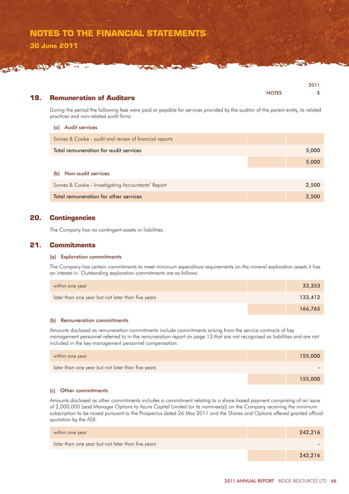**30 June 2011**

 $255 - 251$ 

**ANAS** 

|              | 2011 |
|--------------|------|
| <b>NOTES</b> | S    |

# **19. Remuneration of Auditors**

During the period the following fees were paid or payable for services provided by the auditor of the parent entity, its related practices and non-related audit firms:

# (a) Audit services

| Somes & Cooke - audit and review of financial reports |       |
|-------------------------------------------------------|-------|
| Total remuneration for audit services                 | 5,000 |
|                                                       | 5,000 |
| Non-audit services<br>(b)                             |       |
| Somes & Cooke - Investigating Accountants' Report     | 2,500 |
| Total remuneration for other services                 | 2.500 |

# **20. Contingencies**

The Company has no contingent assets or liabilities.

# **21. Commitments**

### (a) Exploration commitments

The Company has certain commitments to meet minimum expenditure requirements on the mineral exploration assets it has an interest in. Outstanding exploration commitments are as follows:

| within one year                                   | 33,353  |
|---------------------------------------------------|---------|
| later than one year but not later than five years | 133,412 |
|                                                   | 166,765 |

### (b) Remuneration commitments

Amounts disclosed as remuneration commitments include commitments arising from the service contracts of key management personnel referred to in the remuneration report on page 13 that are not recognised as liabilities and are not included in the key management personnel compensation.

| within one year                                   | 155,000 |
|---------------------------------------------------|---------|
| later than one year but not later than five years |         |
|                                                   | 155,000 |

# (c) Other commitments

Amounts disclosed as other commitments includes a commitment relating to a share-based payment comprising of an issue of 2,000,000 Lead Manager Options to Azure Capital Limited (or its nominee(s)) on the Company receiving the minimum subscription to be raised pursuant to the Prospectus dated 26 May 2011 and the Shares and Options offered granted official quotation by the ASX.

| within one year                                   | 242,216 |
|---------------------------------------------------|---------|
| later than one year but not later than five years |         |
|                                                   | 242,216 |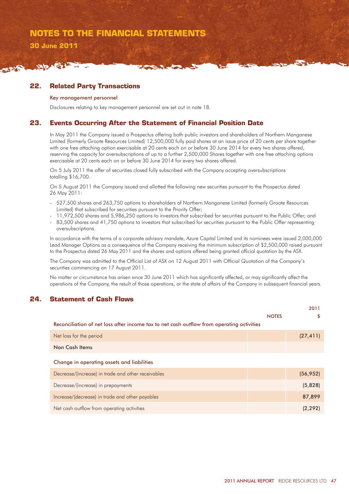**30 June 2011**

メヤ・ギバ

**PATE 1** 

# **22. Related Party Transactions**

### Key management personnel

Disclosures relating to key management personnel are set out in note 18.

# **23. Events Occurring After the Statement of Financial Position Date**

In May 2011 the Company issued a Prospectus offering both public investors and shareholders of Northern Manganese Limited (formerly Groote Resources Limited) 12,500,000 fully paid shares at an issue price of 20 cents per share together with one free attaching option exercisable at 20 cents each on or before 30 June 2014 for every two shares offered, reserving the capacity for oversubscriptions of up to a further 2,500,000 Shares together with one free attaching options exercisable at 20 cents each on or before 30 June 2014 for every two shares offered.

On 5 July 2011 the offer of securities closed fully subscribed with the Company accepting oversubscriptions totalling \$16,700.

On 5 August 2011 the Company issued and allotted the following new securities pursuant to the Prospectus dated 26 May 2011:

- 527,500 shares and 263,750 options to shareholders of Northern Manganese Limited (formerly Groote Resources Limited) that subscribed for securities pursuant to the Priority Offer;
- 11,972,500 shares and 5,986,250 options to investors that subscribed for securities pursuant to the Public Offer; and
- 83,500 shares and 41,750 options to investors that subscribed for securities pursuant to the Public Offer representing oversubscriptions.

In accordance with the terms of a corporate advisory mandate, Azure Capital Limited and its nominees were issued 2,000,000 Lead Manager Options as a consequence of the Company receiving the minimum subscription of \$2,500,000 raised pursuant to the Prospectus dated 26 May 2011 and the shares and options offered being granted official quotation by the ASX.

The Company was admitted to the Official List of ASX on 12 August 2011 with Official Quotation of the Company's securities commencing on 17 August 2011.

No matter or circumstance has arisen since 30 June 2011 which has significantly affected, or may significantly affect the operations of the Company, the result of those operations, or the state of affairs of the Company in subsequent financial years.

# **24. Statement of Cash Flows**

|                                                                                           |              | 2011      |
|-------------------------------------------------------------------------------------------|--------------|-----------|
|                                                                                           | <b>NOTES</b> | S         |
| Reconciliation of net loss after income tax to net cash outflow from operating activities |              |           |
| Net loss for the period                                                                   |              | (27, 411) |
| Non Cash Items                                                                            |              |           |
| Change in operating assets and liabilities                                                |              |           |
| Decrease/(increase) in trade and other receivables                                        |              | (56, 952) |
| Decrease/(increase) in prepayments                                                        |              | (5,828)   |
| Increase/(decrease) in trade and other payables                                           |              | 87,899    |
| Net cash outflow from operating activities                                                |              | (2, 292)  |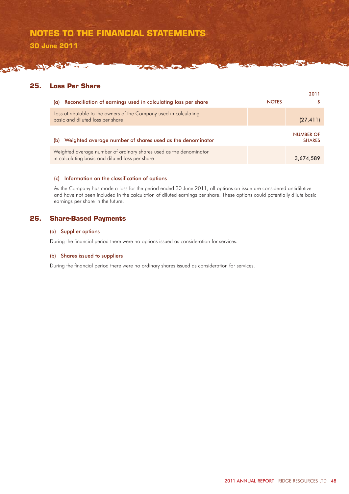**30 June 2011**

œ

**PARTIES** 

# **25. Loss Per Share**

|                                                                                                                       |              | 2011                              |
|-----------------------------------------------------------------------------------------------------------------------|--------------|-----------------------------------|
| Reconciliation of earnings used in calculating loss per share<br>(a)                                                  | <b>NOTES</b> |                                   |
| Loss attributable to the owners of the Company used in calculating<br>basic and diluted loss per share                |              | (27, 411)                         |
| Weighted average number of shares used as the denominator<br>(b)                                                      |              | <b>NUMBER OF</b><br><b>SHARES</b> |
| Weighted average number of ordinary shares used as the denominator<br>in calculating basic and diluted loss per share |              | 3,674,589                         |

# (c) Information on the classification of options

As the Company has made a loss for the period ended 30 June 2011, all options on issue are considered antidilutive and have not been included in the calculation of diluted earnings per share. These options could potentially dilute basic earnings per share in the future.

# **26. Share-Based Payments**

### (a) Supplier options

During the financial period there were no options issued as consideration for services.

# (b) Shares issued to suppliers

During the financial period there were no ordinary shares issued as consideration for services.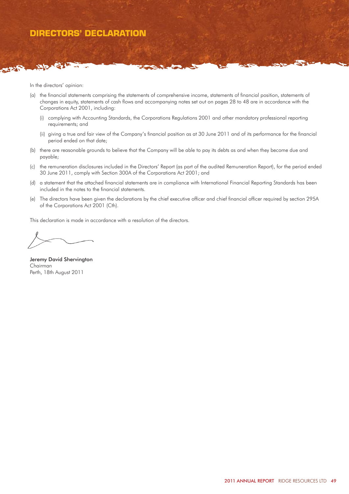# **Directors' Declaration**

In the directors' opinion:

小牛牛

- (a) the financial statements comprising the statements of comprehensive income, statements of financial position, statements of changes in equity, statements of cash flows and accompanying notes set out on pages 28 to 48 are in accordance with the Corporations Act 2001, including:
	- (i) complying with Accounting Standards, the Corporations Regulations 2001 and other mandatory professional reporting requirements; and
	- (ii) giving a true and fair view of the Company's financial position as at 30 June 2011 and of its performance for the financial period ended on that date;
- (b) there are reasonable grounds to believe that the Company will be able to pay its debts as and when they become due and payable;
- (c) the remuneration disclosures included in the Directors' Report (as part of the audited Remuneration Report), for the period ended 30 June 2011, comply with Section 300A of the Corporations Act 2001; and
- (d) a statement that the attached financial statements are in compliance with International Financial Reporting Standards has been included in the notes to the financial statements.
- (e) The directors have been given the declarations by the chief executive officer and chief financial officer required by section 295A of the Corporations Act 2001 (Cth).

This declaration is made in accordance with a resolution of the directors.

Jeremy David Shervington Chairman Perth, 18th August 2011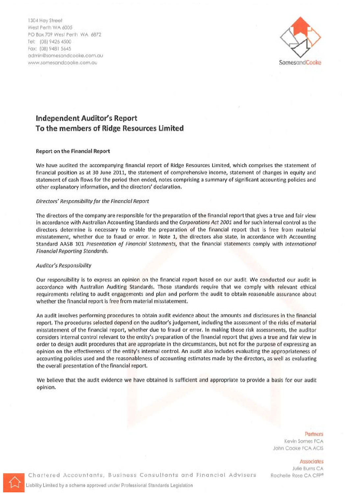1304 Hay Street West Perth WA 6005 PO Box 709 West Perth WA 6872 Tel: (08) 9426 4500 Fax: (08) 9481 5645 admin@somesandcooke.com.au www.somesandcooke.com.au



# **Independent Auditor's Report** To the members of Ridge Resources Limited

# **Report on the Financial Report**

We have audited the accompanying financial report of Ridge Resources Limited, which comprises the statement of financial position as at 30 June 2011, the statement of comprehensive income, statement of changes in equity and statement of cash flows for the period then ended, notes comprising a summary of significant accounting policies and other explanatory information, and the directors' declaration.

### Directors' Responsibility for the Financial Report

The directors of the company are responsible for the preparation of the financial report that gives a true and fair view in accordance with Australian Accounting Standards and the Corporations Act 2001 and for such internal control as the directors determine is necessary to enable the preparation of the financial report that is free from material misstatement, whether due to fraud or error. In Note 1, the directors also state, in accordance with Accounting Standard AASB 101 Presentation of Financial Statements, that the financial statements comply with International **Financial Reporting Standards.** 

### **Auditor's Responsibility**

Our responsibility is to express an opinion on the financial report based on our audit. We conducted our audit in accordance with Australian Auditing Standards. Those standards require that we comply with relevant ethical requirements relating to audit engagements and plan and perform the audit to obtain reasonable assurance about whether the financial report is free from material misstatement.

An audit involves performing procedures to obtain audit evidence about the amounts and disclosures in the financial report. The procedures selected depend on the auditor's judgement, including the assessment of the risks of material misstatement of the financial report, whether due to fraud or error. In making those risk assessments, the auditor considers internal control relevant to the entity's preparation of the financial report that gives a true and fair view in order to design audit procedures that are appropriate in the circumstances, but not for the purpose of expressing an opinion on the effectiveness of the entity's internal control. An audit also includes evaluating the appropriateness of accounting policies used and the reasonableness of accounting estimates made by the directors, as well as evaluating the overall presentation of the financial report.

We believe that the audit evidence we have obtained is sufficient and appropriate to provide a basis for our audit opinion.

> Partners Kevin Somes FCA John Cooke FCA ACIS

**Associates** Julie Burns CA Rachelle Rose CA CFP®

Chartered Accountants, Business Consultants and Financial Advisers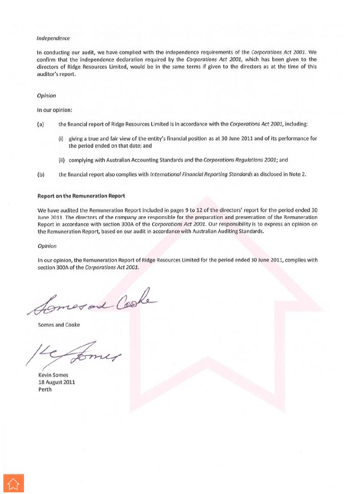### Independence

In conducting our audit, we have complied with the independence requirements of the Corporations Act 2001. We confirm that the independence declaration required by the Corporations Act 2001, which has been given to the directors of Ridge Resources Limited, would be in the same terms if given to the directors as at the time of this auditor's report.

#### Opinion

### In our opinion:

- the financial report of Ridge Resources Limited is in accordance with the Corporations Act 2001, including:  $(a)$ 
	- giving a true and fair view of the entity's financial position as at 30 June 2011 and of its performance for  $(1)$ the period ended on that date; and
	- (ii) complying with Australian Accounting Standards and the Corporations Regulations 2001; and
- the financial report also complies with International Financial Reporting Standards as disclosed in Note 2.  $(b)$

### **Report on the Remuneration Report**

We have audited the Remuneration Report included in pages 9 to 12 of the directors' report for the period ended 30 June 2011. The directors of the company are responsible for the preparation and presentation of the Remuneration Report in accordance with section 300A of the Corporations Act 2001. Our responsibility is to express an opinion on the Remuneration Report, based on our audit in accordance with Australian Auditing Standards.

#### Opinion

In our opinion, the Remuneration Report of Ridge Resources Limited for the period ended 30 June 2011, complies with section 300A of the Corporations Act 2001.

er and Cooke

**Somes and Cooke** 

**Kevin Somes** 18 August 2011 Perth

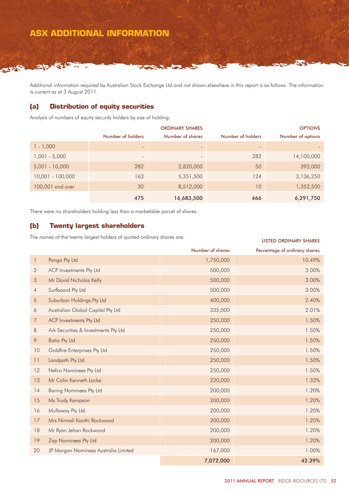# **ASX Additional Information**

Additional information required by Australian Stock Exchange Ltd and not shown elsewhere in this report is as follows. The information is current as at 3 August 2011.

5

# **(a) Distribution of equity securities**

**Sale** 

**BATHS** 

Analysis of numbers of equity security holders by size of holding:

|                  |                          | <b>ORDINARY SHARES</b>       |                              | <b>OPTIONS</b>    |
|------------------|--------------------------|------------------------------|------------------------------|-------------------|
|                  | Number of holders        | Number of shares             | Number of holders            | Number of options |
| $1 - 1,000$      | $\overline{\phantom{a}}$ | $\qquad \qquad \blacksquare$ | $\qquad \qquad \blacksquare$ |                   |
| $1,001 - 5,000$  | $\overline{\phantom{a}}$ | $\overline{\phantom{a}}$     | 282                          | 14,100,000        |
| $5,001 - 10,000$ | 282                      | 2,820,000                    | 50                           | 393,000           |
| 10,001 - 100,000 | 163                      | 5,351,500                    | 124                          | 3,136,250         |
| 100,001 and over | 30                       | 8,512,000                    | 10                           | 1,352,500         |
|                  | 475                      | 16,683,500                   | 466                          | 6,291,750         |

There were no shareholders holding less than a marketable parcel of shares.

# **(b) Twenty largest shareholders**

The names of the twenty largest holders of quoted ordinary shares are: LISTED ORDINARY SHARES

|                |                                      | Number of shares | Percentage of ordinary shares |
|----------------|--------------------------------------|------------------|-------------------------------|
| -1             | Panga Pty Ltd                        | 1,750,000        | 10.49%                        |
| $\overline{2}$ | <b>ACP</b> Investments Pty Ltd       | 500,000          | 3.00%                         |
| 3              | Mr David Nicholas Kelly              | 500,000          | 3.00%                         |
| $\overline{4}$ | Surfboard Pty Ltd                    | 500,000          | 3.00%                         |
| 5              | Suburban Holdings Pty Ltd            | 400,000          | 2.40%                         |
| 6              | Australian Global Capital Pty Ltd    | 335,000          | 2.01%                         |
| $\overline{7}$ | <b>ACP</b> Investments Pty Ltd       | 250,000          | 1.50%                         |
| 8              | Ark Securities & Investments Pty Ltd | 250,000          | 1.50%                         |
| 9              | <b>Batio Pty Ltd</b>                 | 250,000          | 1.50%                         |
| 10             | Goldfire Enterprises Pty Ltd         | 250,000          | 1.50%                         |
| 11             | Landpath Pty Ltd                     | 250,000          | 1.50%                         |
| 12             | Nefco Nominees Pty Ltd               | 250,000          | 1.50%                         |
| 13             | Mr Colin Kenneth Locke               | 220,000          | 1.32%                         |
| 14             | <b>Baring Nominees Pty Ltd</b>       | 200,000          | 1.20%                         |
| 15             | Ms Trudy Kempson                     | 200,000          | 1.20%                         |
| 16             | Mulloway Pty Ltd                     | 200,000          | 1.20%                         |
| 17             | Mrs Nirmali Kanthi Rockwood          | 200,000          | 1.20%                         |
| 18             | Mr Ryan Jehan Rockwood               | 200,000          | 1.20%                         |
| 19             | Zap Nominees Pty Ltd                 | 200,000          | 1.20%                         |
| 20             | JP Morgan Nominees Australia Limited | 167,000          | 1.00%                         |
|                |                                      | 7,072,000        | 42.39%                        |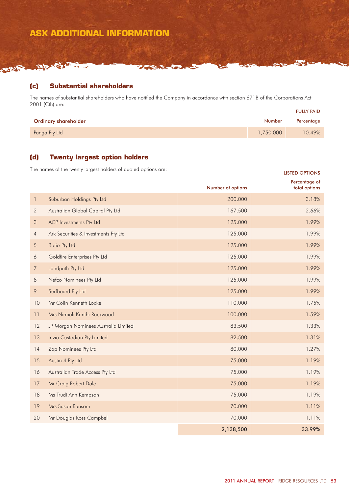# **ASX Additional Information**

# **(c) Substantial shareholders**

i.

**XXX 2372** 

**PATE TO** 

The names of substantial shareholders who have notified the Company in accordance with section 671B of the Corporations Act 2001 (Cth) are: Fully paid

|                      |           | <b>FULLY PAID</b> |
|----------------------|-----------|-------------------|
| Ordinary shareholder | Number    | Percentage        |
| Panga Pty Ltd        | 1,750,000 | 10.49%            |

5

# **(d) Twenty largest option holders**

The names of the twenty largest holders of quoted options are: LISTED OPTIONS

|                |                                      | Number of options | Percentage of<br>total options |
|----------------|--------------------------------------|-------------------|--------------------------------|
| $\mathbb{I}$   | Suburban Holdings Pty Ltd            | 200,000           | 3.18%                          |
| $\overline{2}$ | Australian Global Capital Pty Ltd    | 167,500           | 2.66%                          |
| $\sqrt{3}$     | <b>ACP</b> Investments Pty Ltd       | 125,000           | 1.99%                          |
| 4              | Ark Securities & Investments Pty Ltd | 125,000           | 1.99%                          |
| 5              | <b>Batio Pty Ltd</b>                 | 125,000           | 1.99%                          |
| 6              | Goldfire Enterprises Pty Ltd         | 125,000           | 1.99%                          |
| $\overline{7}$ | Landpath Pty Ltd                     | 125,000           | 1.99%                          |
| $8\phantom{1}$ | Nefco Nominees Pty Ltd               | 125,000           | 1.99%                          |
| $\circ$        | Surfboard Pty Ltd                    | 125,000           | 1.99%                          |
| 10             | Mr Colin Kenneth Locke               | 110,000           | 1.75%                          |
| 11             | Mrs Nirmali Kanthi Rockwood          | 100,000           | 1.59%                          |
| 12             | JP Morgan Nominees Australia Limited | 83,500            | 1.33%                          |
| 13             | Invia Custodian Pty Limited          | 82,500            | 1.31%                          |
| 14             | Zap Nominees Pty Ltd                 | 80,000            | 1.27%                          |
| 15             | Austin 4 Pty Ltd                     | 75,000            | 1.19%                          |
| 16             | Australian Trade Access Pty Ltd      | 75,000            | 1.19%                          |
| 17             | Mr Craig Robert Dale                 | 75,000            | 1.19%                          |
| 18             | Ms Trudi Ann Kempson                 | 75,000            | 1.19%                          |
| 19             | Mrs Susan Ransom                     | 70,000            | 1.11%                          |
| 20             | Mr Douglas Ross Campbell             | 70,000            | 1.11%                          |
|                |                                      | 2,138,500         | 33.99%                         |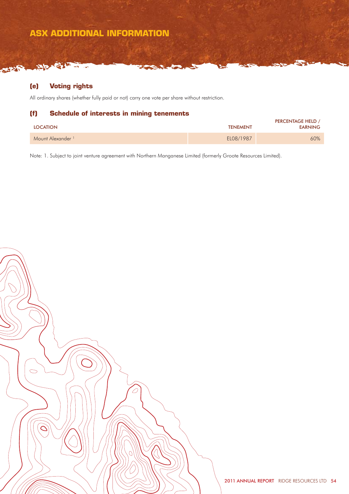# **ASX Additional Information**

L.

# **(e) Voting rights**

e

**BACKER** 

All ordinary shares (whether fully paid or not) carry one vote per share without restriction.

# **(f) Schedule of interests in mining tenements**

| <b>LOCATION</b>              | <b>TENEMENT</b> | <b>PERCENTAGE HELD /</b><br><b>EARNING</b> |
|------------------------------|-----------------|--------------------------------------------|
| Mount Alexander <sup>1</sup> | EL08/1987       | 60%                                        |

Note: 1. Subject to joint venture agreement with Northern Manganese Limited (formerly Groote Resources Limited).